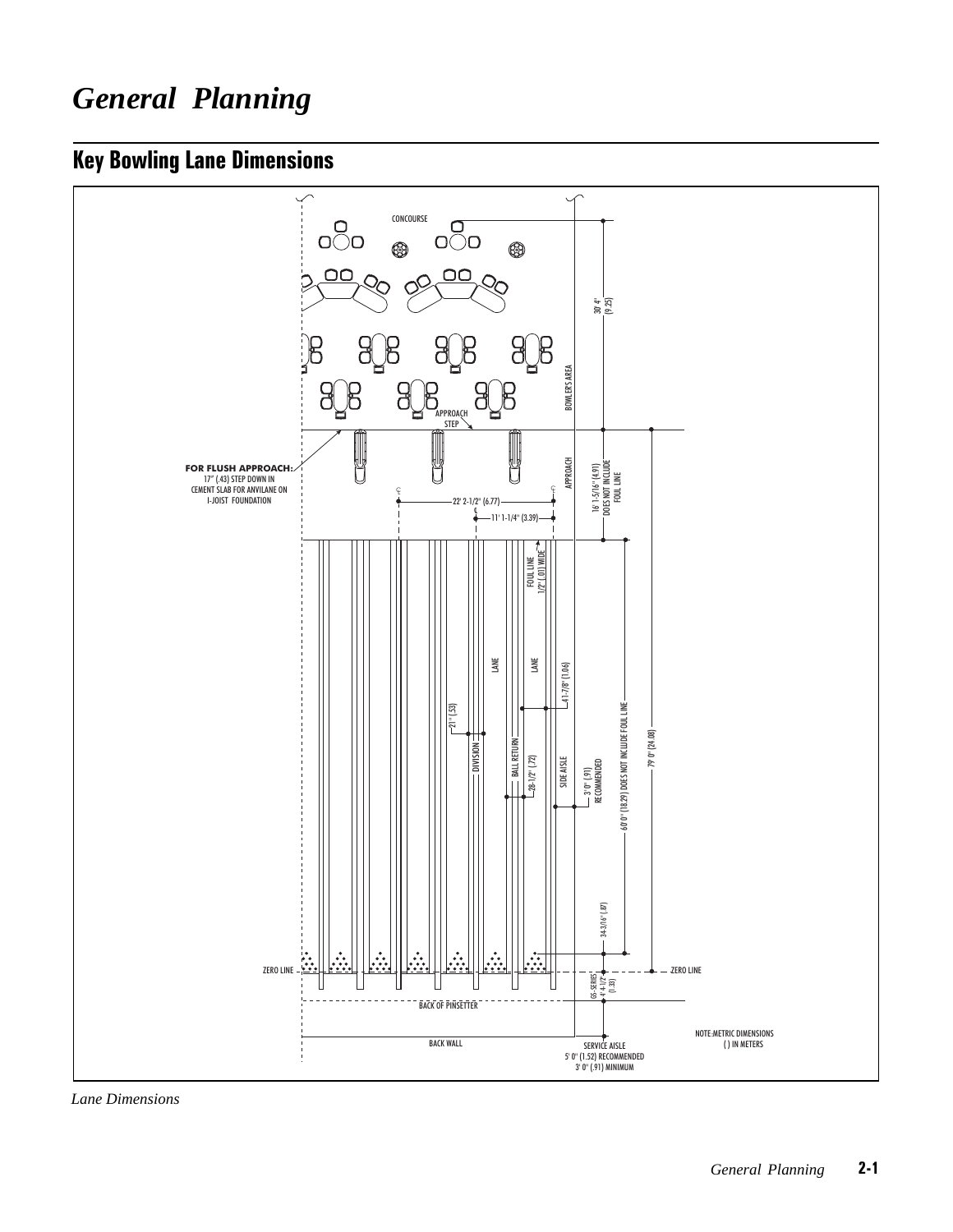# *General Planning*

# Key Bowling Lane Dimensions



*Lane Dimensions*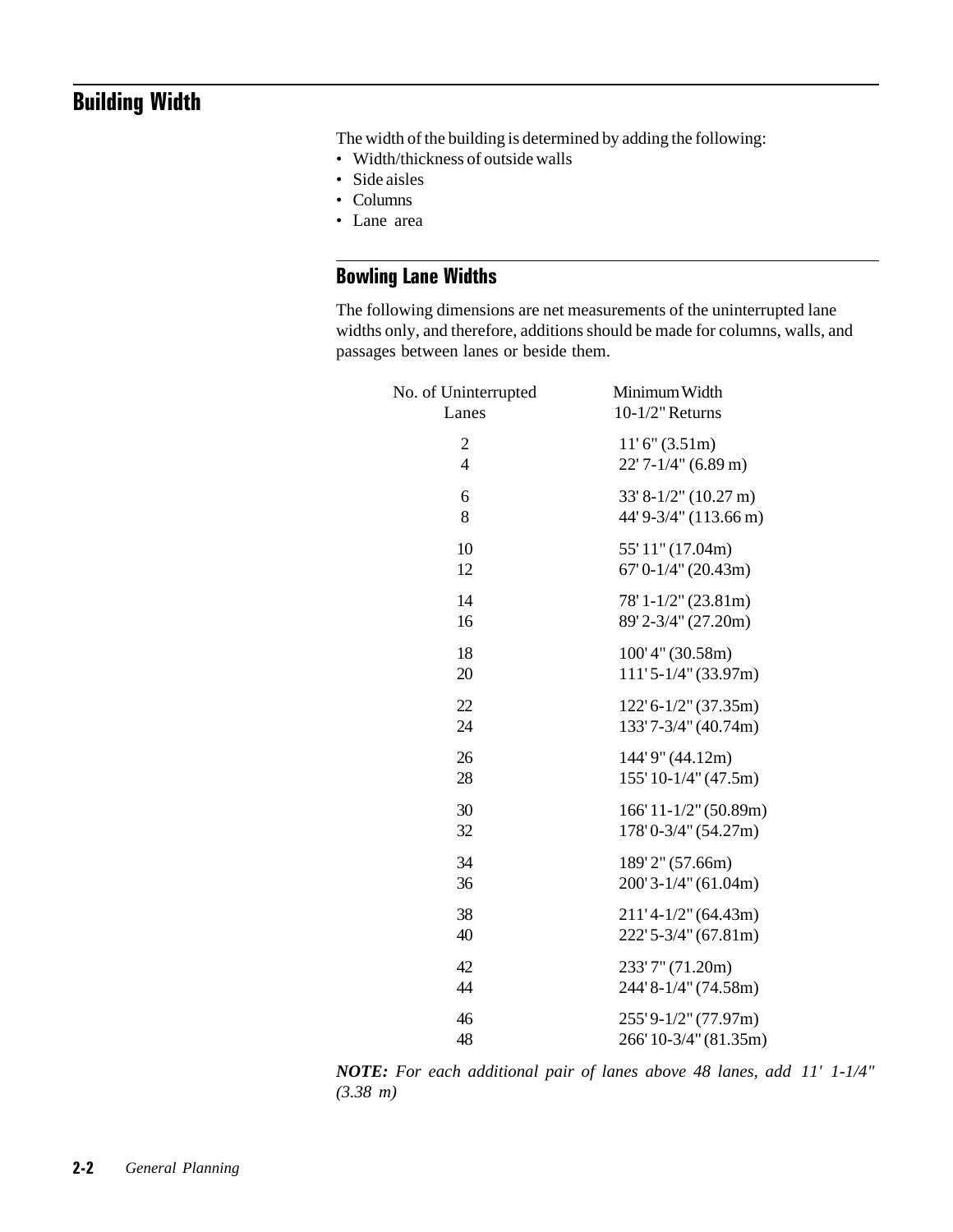# Building Width

The width of the building is determined by adding the following:

- Width/thickness of outside walls
- Side aisles
- Columns
- Lane area

## Bowling Lane Widths

The following dimensions are net measurements of the uninterrupted lane widths only, and therefore, additions should be made for columns, walls, and passages between lanes or beside them.

| No. of Uninterrupted | Minimum Width              |
|----------------------|----------------------------|
| Lanes                | 10-1/2" Returns            |
| $\overline{c}$       | 11'6'' (3.51m)             |
| $\overline{4}$       | $22'$ 7-1/4" (6.89 m)      |
| 6                    | 33' 8-1/2" (10.27 m)       |
| 8                    | 44' 9-3/4" (113.66 m)      |
| 10                   | 55' 11" (17.04m)           |
| 12                   | $67' 0-1/4'' (20.43m)$     |
| 14                   | 78' 1-1/2" (23.81m)        |
| 16                   | 89'2-3/4" (27.20m)         |
| 18                   | 100'4" (30.58m)            |
| 20                   | $111'5-1/4''$ (33.97m)     |
| 22                   | $122'$ 6-1/2" (37.35m)     |
| 24                   | 133'7-3/4" (40.74m)        |
| 26                   | 144'9" (44.12m)            |
| 28                   | $155'10-1/4''(47.5m)$      |
| 30                   | $166' 11 - 1/2$ " (50.89m) |
| 32                   | 178'0-3/4" (54.27m)        |
| 34                   | 189'2" (57.66m)            |
| 36                   | 200'3-1/4" (61.04m)        |
| 38                   | $211'4 - 1/2''$ (64.43m)   |
| 40                   | 222' 5-3/4" (67.81m)       |
| 42                   | 233'7" (71.20m)            |
| 44                   | 244'8-1/4" (74.58m)        |
| 46                   | 255'9-1/2" (77.97m)        |
| 48                   | 266'10-3/4" (81.35m)       |

*NOTE: For each additional pair of lanes above 48 lanes, add 11' 1-1/4" (3.38 m)*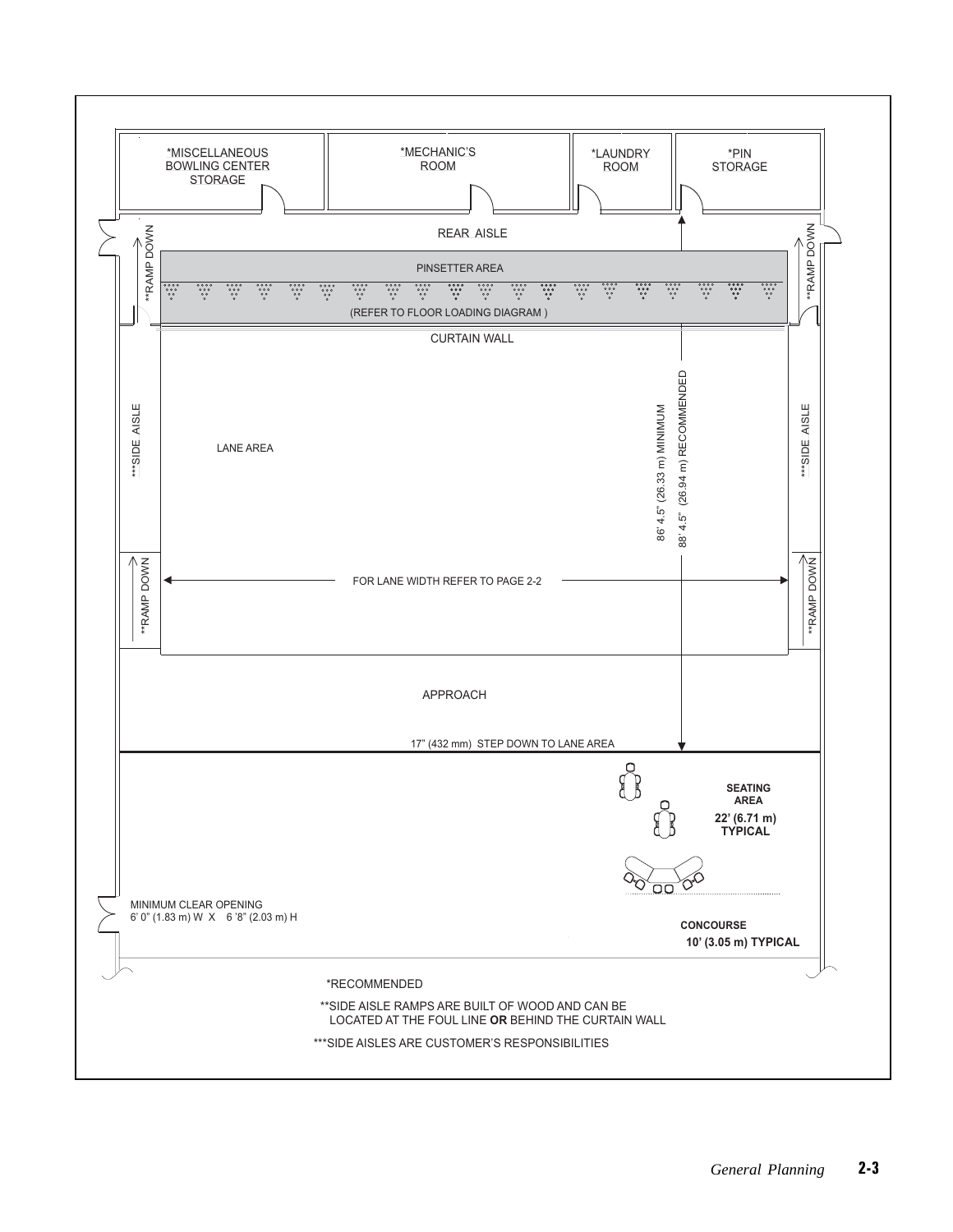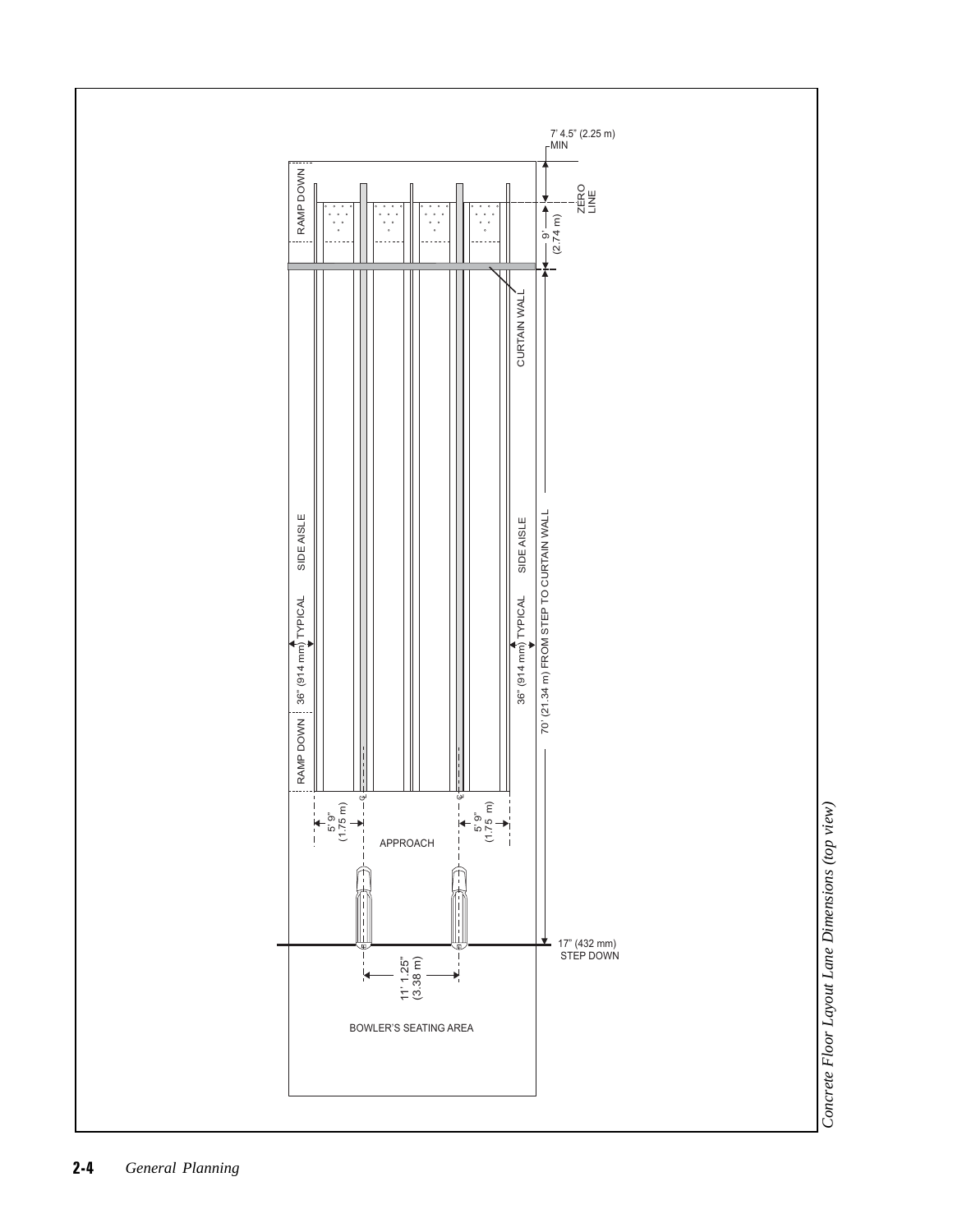

Concrete Floor Layout Lane Dimensions (top view) *Concrete Floor Layout Lane Dimensions (top view)*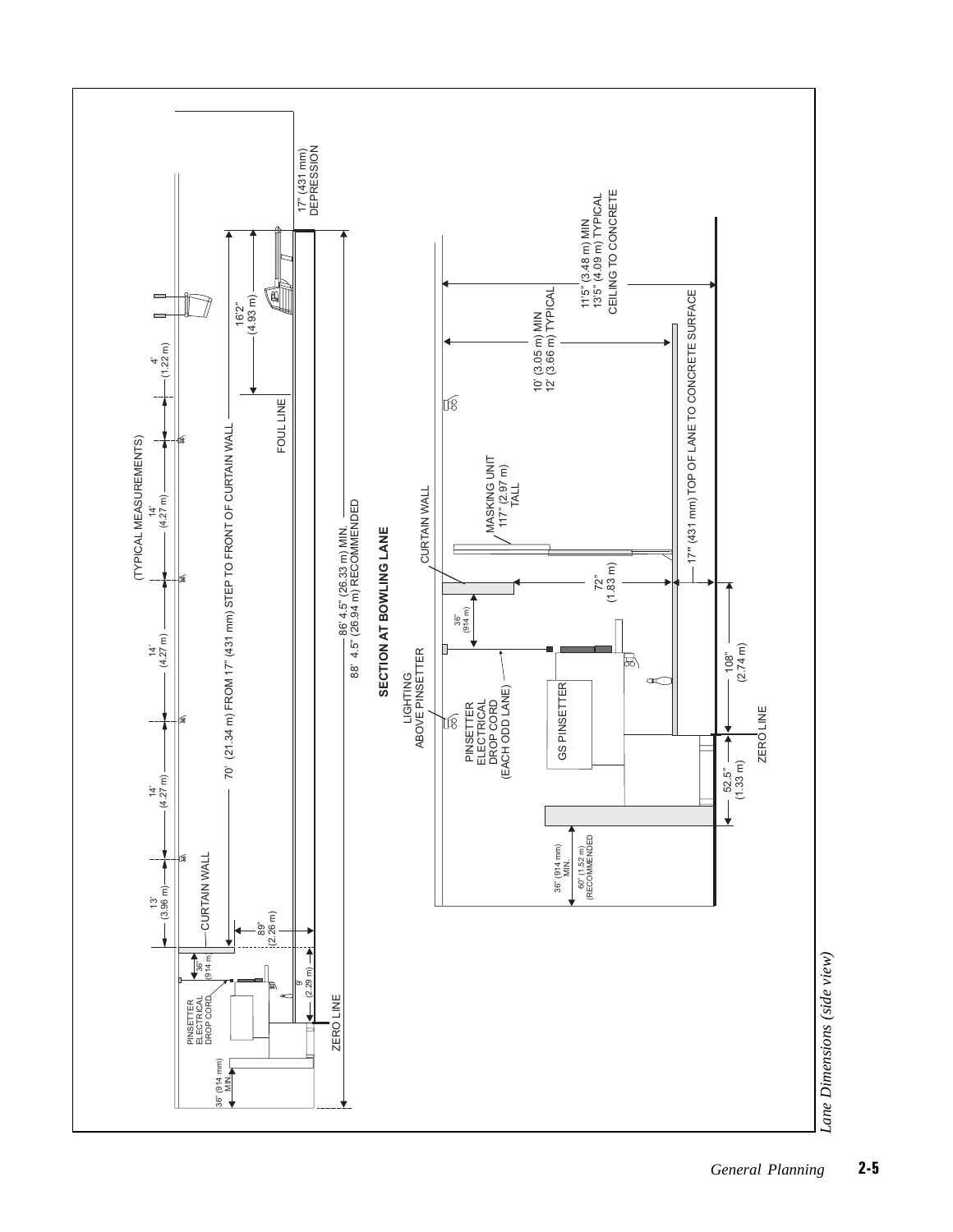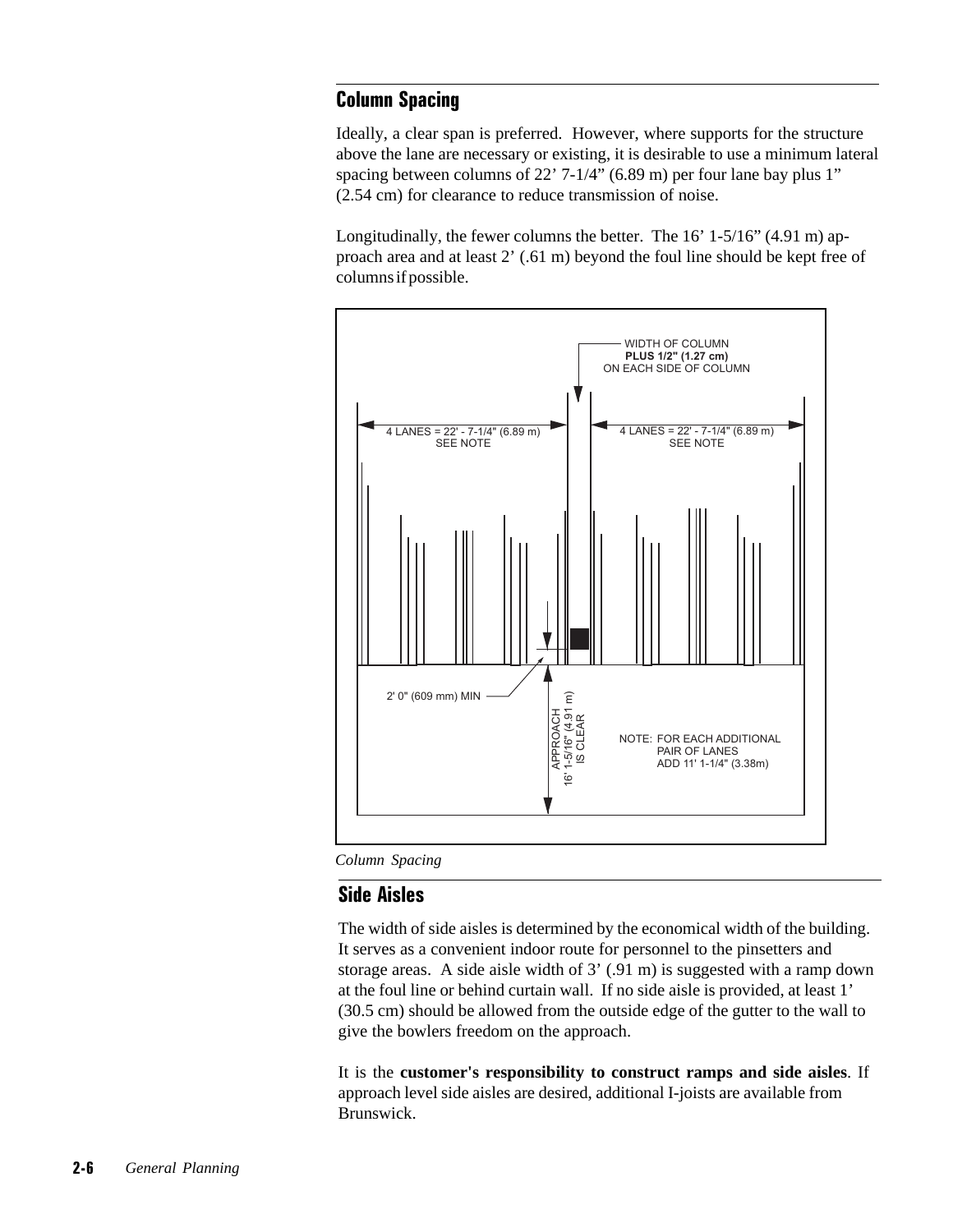# Column Spacing

Ideally, a clear span is preferred. However, where supports for the structure above the lane are necessary or existing, it is desirable to use a minimum lateral spacing between columns of 22' 7-1/4" (6.89 m) per four lane bay plus 1" (2.54 cm) for clearance to reduce transmission of noise.

Longitudinally, the fewer columns the better. The 16' 1-5/16" (4.91 m) approach area and at least 2' (.61 m) beyond the foul line should be kept free of columns if possible.





## Side Aisles

The width of side aisles is determined by the economical width of the building. It serves as a convenient indoor route for personnel to the pinsetters and storage areas. A side aisle width of 3' (.91 m) is suggested with a ramp down at the foul line or behind curtain wall. If no side aisle is provided, at least 1' (30.5 cm) should be allowed from the outside edge of the gutter to the wall to give the bowlers freedom on the approach.

It is the **customer's responsibility to construct ramps and side aisles**. If approach level side aisles are desired, additional I-joists are available from Brunswick.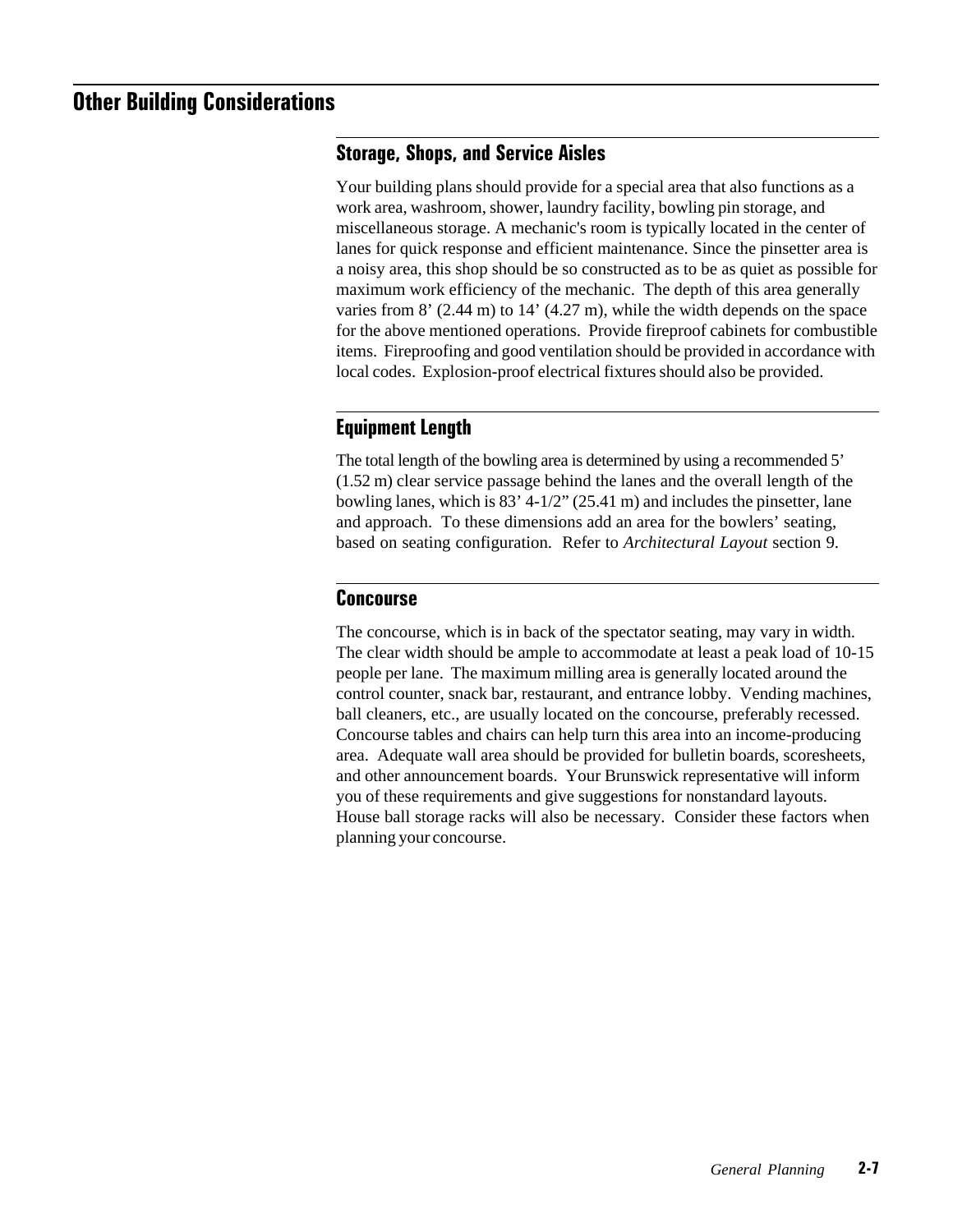# Other Building Considerations

## Storage, Shops, and Service Aisles

Your building plans should provide for a special area that also functions as a work area, washroom, shower, laundry facility, bowling pin storage, and miscellaneous storage. A mechanic's room is typically located in the center of lanes for quick response and efficient maintenance. Since the pinsetter area is a noisy area, this shop should be so constructed as to be as quiet as possible for maximum work efficiency of the mechanic. The depth of this area generally varies from 8' (2.44 m) to 14' (4.27 m), while the width depends on the space for the above mentioned operations. Provide fireproof cabinets for combustible items. Fireproofing and good ventilation should be provided in accordance with local codes. Explosion-proof electrical fixtures should also be provided.

## Equipment Length

The total length of the bowling area is determined by using a recommended 5' (1.52 m) clear service passage behind the lanes and the overall length of the bowling lanes, which is 83' 4-1/2" (25.41 m) and includes the pinsetter, lane and approach. To these dimensions add an area for the bowlers' seating, based on seating configuration. Refer to *Architectural Layout* section 9.

#### Concourse

The concourse, which is in back of the spectator seating, may vary in width. The clear width should be ample to accommodate at least a peak load of 10-15 people per lane. The maximum milling area is generally located around the control counter, snack bar, restaurant, and entrance lobby. Vending machines, ball cleaners, etc., are usually located on the concourse, preferably recessed. Concourse tables and chairs can help turn this area into an income-producing area. Adequate wall area should be provided for bulletin boards, scoresheets, and other announcement boards. Your Brunswick representative will inform you of these requirements and give suggestions for nonstandard layouts. House ball storage racks will also be necessary. Consider these factors when planning your concourse.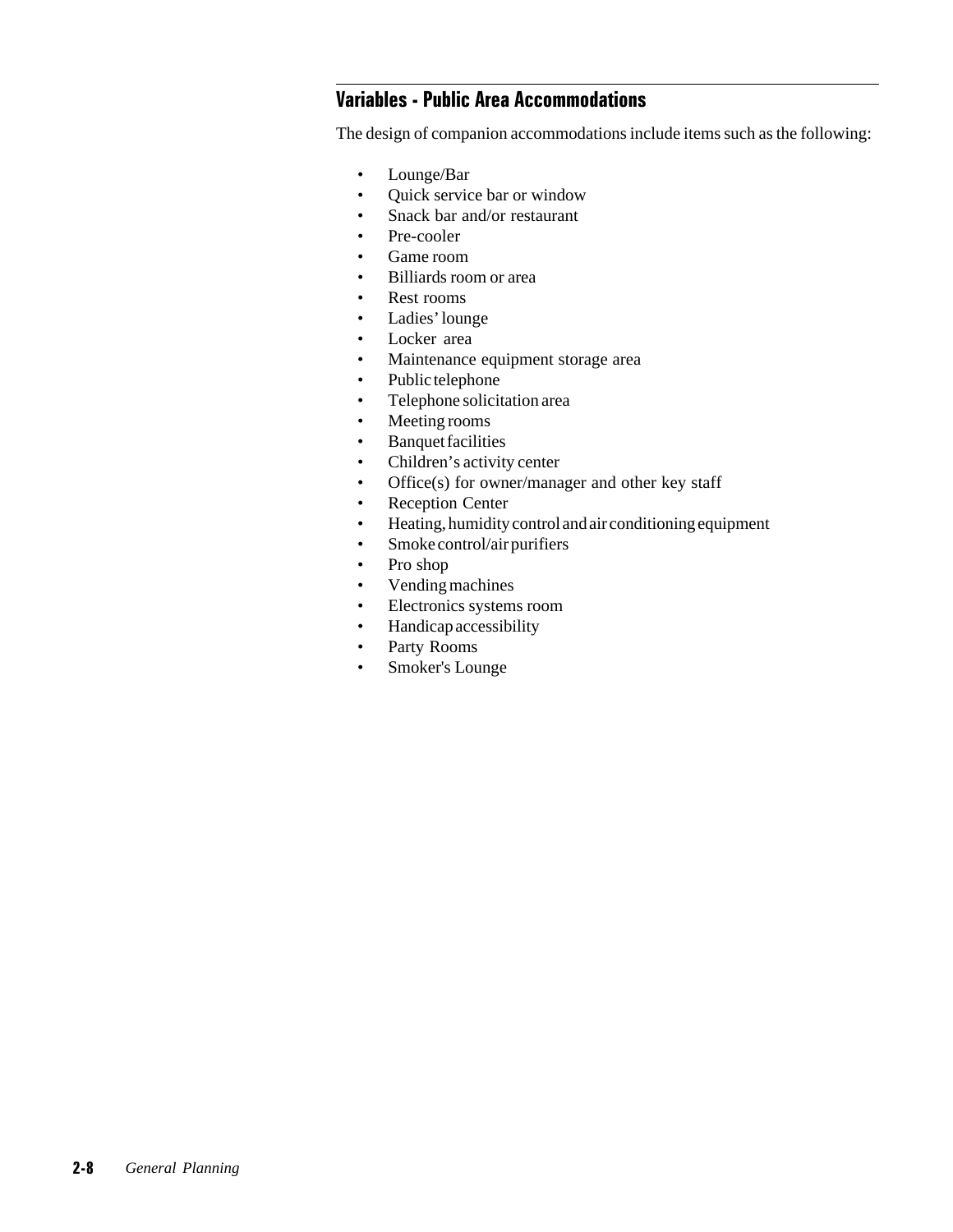## Variables - Public Area Accommodations

The design of companion accommodations include items such as the following:

- Lounge/Bar
- Quick service bar or window
- Snack bar and/or restaurant
- Pre-cooler
- Game room
- Billiards room or area
- Rest rooms
- Ladies' lounge
- Locker area
- Maintenance equipment storage area
- Public telephone
- Telephone solicitation area
- Meeting rooms
- Banquet facilities
- Children's activity center
- Office(s) for owner/manager and other key staff
- Reception Center
- Heating, humidity control and air conditioning equipment
- Smoke control/air purifiers
- Pro shop
- Vending machines
- Electronics systems room
- Handicap accessibility
- Party Rooms
- Smoker's Lounge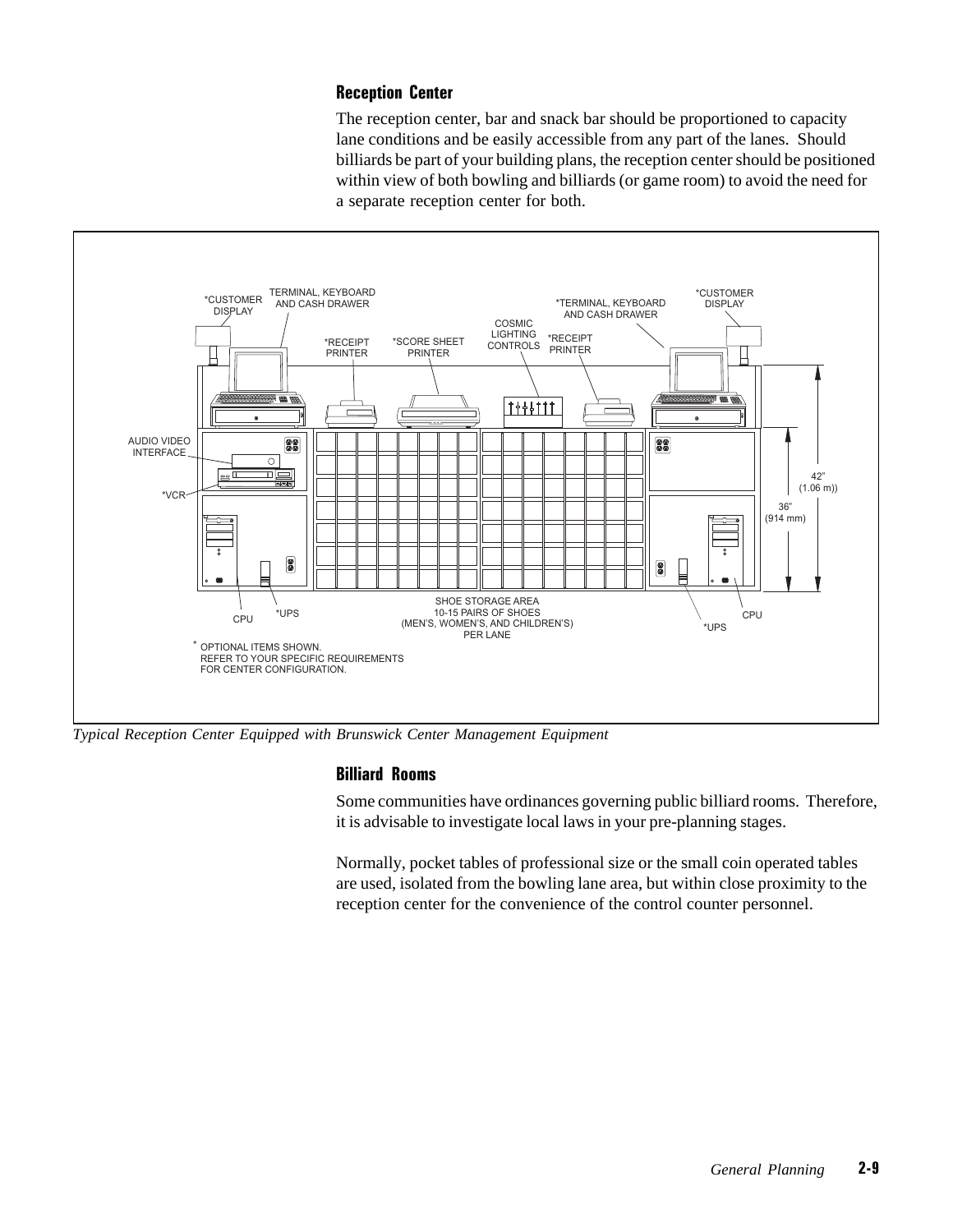#### Reception Center

The reception center, bar and snack bar should be proportioned to capacity lane conditions and be easily accessible from any part of the lanes. Should billiards be part of your building plans, the reception center should be positioned within view of both bowling and billiards (or game room) to avoid the need for a separate reception center for both.



*Typical Reception Center Equipped with Brunswick Center Management Equipment*

#### Billiard Rooms

Some communities have ordinances governing public billiard rooms. Therefore, it is advisable to investigate local laws in your pre-planning stages.

Normally, pocket tables of professional size or the small coin operated tables are used, isolated from the bowling lane area, but within close proximity to the reception center for the convenience of the control counter personnel.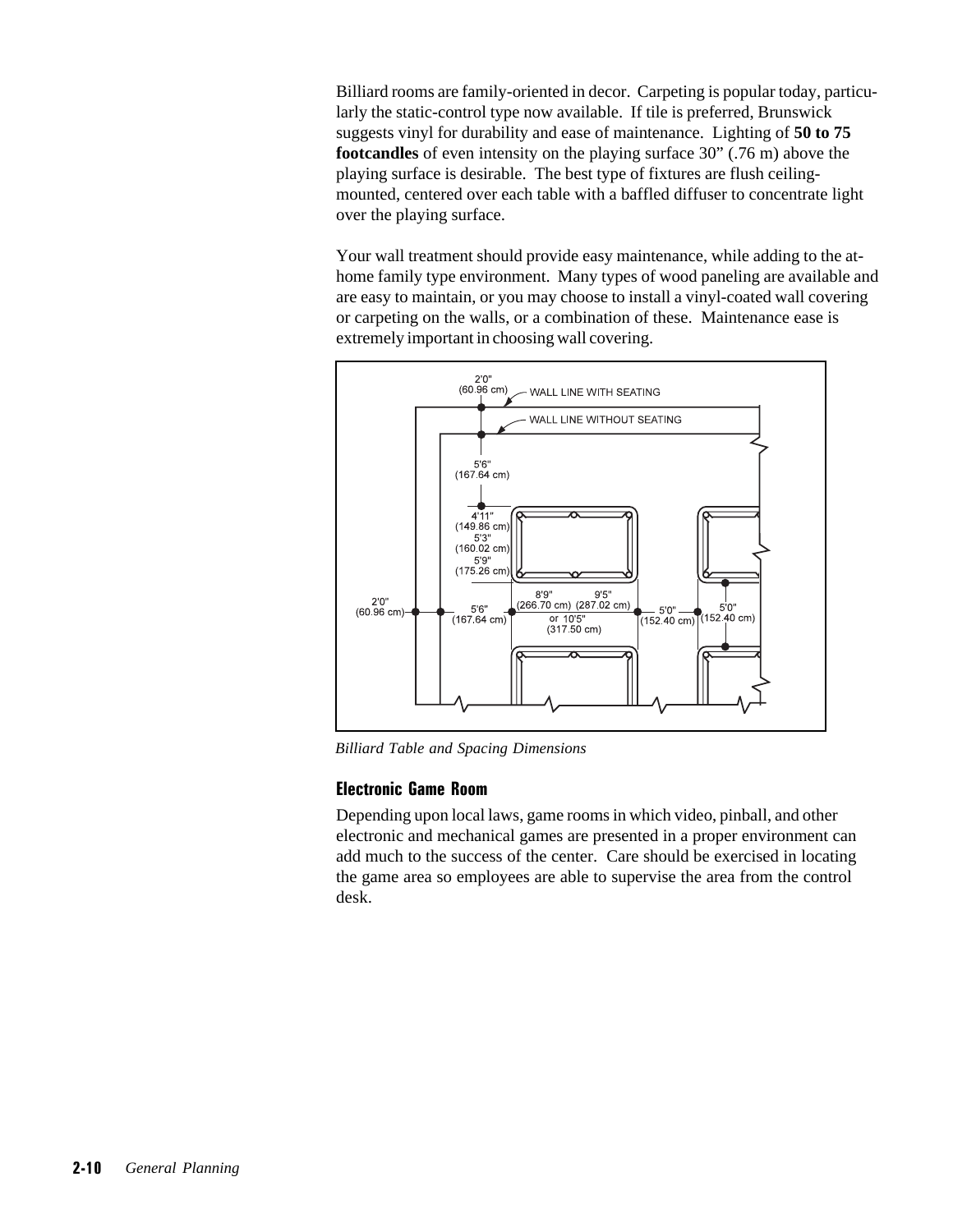Billiard rooms are family-oriented in decor. Carpeting is popular today, particularly the static-control type now available. If tile is preferred, Brunswick suggests vinyl for durability and ease of maintenance. Lighting of **50 to 75 footcandles** of even intensity on the playing surface 30" (.76 m) above the playing surface is desirable. The best type of fixtures are flush ceilingmounted, centered over each table with a baffled diffuser to concentrate light over the playing surface.

Your wall treatment should provide easy maintenance, while adding to the athome family type environment. Many types of wood paneling are available and are easy to maintain, or you may choose to install a vinyl-coated wall covering or carpeting on the walls, or a combination of these. Maintenance ease is extremely important in choosing wall covering.



*Billiard Table and Spacing Dimensions*

#### Electronic Game Room

Depending upon local laws, game rooms in which video, pinball, and other electronic and mechanical games are presented in a proper environment can add much to the success of the center. Care should be exercised in locating the game area so employees are able to supervise the area from the control desk.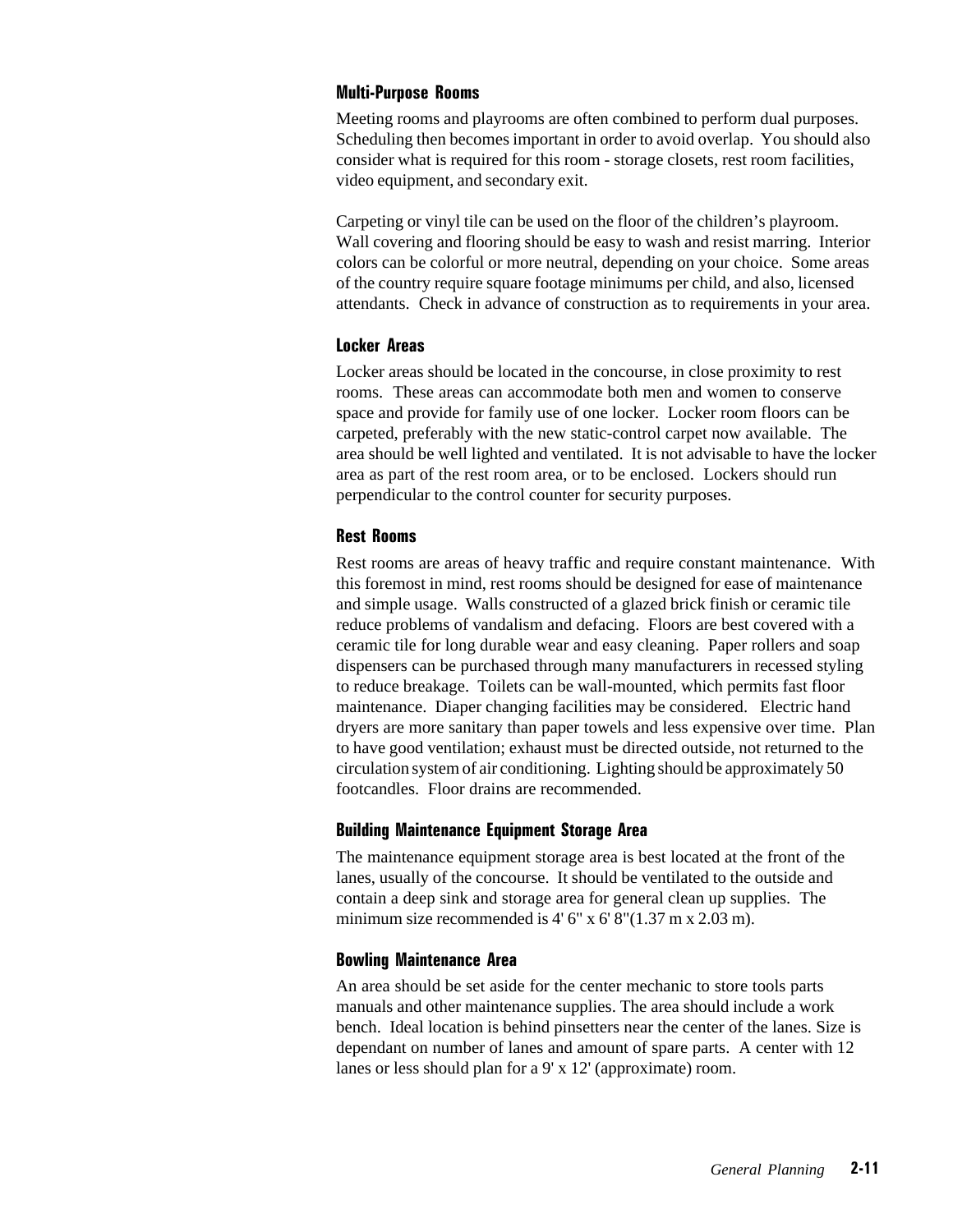#### Multi-Purpose Rooms

Meeting rooms and playrooms are often combined to perform dual purposes. Scheduling then becomes important in order to avoid overlap. You should also consider what is required for this room - storage closets, rest room facilities, video equipment, and secondary exit.

Carpeting or vinyl tile can be used on the floor of the children's playroom. Wall covering and flooring should be easy to wash and resist marring. Interior colors can be colorful or more neutral, depending on your choice. Some areas of the country require square footage minimums per child, and also, licensed attendants. Check in advance of construction as to requirements in your area.

#### Locker Areas

Locker areas should be located in the concourse, in close proximity to rest rooms. These areas can accommodate both men and women to conserve space and provide for family use of one locker. Locker room floors can be carpeted, preferably with the new static-control carpet now available. The area should be well lighted and ventilated. It is not advisable to have the locker area as part of the rest room area, or to be enclosed. Lockers should run perpendicular to the control counter for security purposes.

#### Rest Rooms

Rest rooms are areas of heavy traffic and require constant maintenance. With this foremost in mind, rest rooms should be designed for ease of maintenance and simple usage. Walls constructed of a glazed brick finish or ceramic tile reduce problems of vandalism and defacing. Floors are best covered with a ceramic tile for long durable wear and easy cleaning. Paper rollers and soap dispensers can be purchased through many manufacturers in recessed styling to reduce breakage. Toilets can be wall-mounted, which permits fast floor maintenance. Diaper changing facilities may be considered. Electric hand dryers are more sanitary than paper towels and less expensive over time. Plan to have good ventilation; exhaust must be directed outside, not returned to the circulation system of air conditioning. Lighting should be approximately 50 footcandles. Floor drains are recommended.

#### Building Maintenance Equipment Storage Area

The maintenance equipment storage area is best located at the front of the lanes, usually of the concourse. It should be ventilated to the outside and contain a deep sink and storage area for general clean up supplies. The minimum size recommended is  $4' 6''$  x  $6' 8'' (1.37$  m x  $2.03$  m).

#### Bowling Maintenance Area

An area should be set aside for the center mechanic to store tools parts manuals and other maintenance supplies. The area should include a work bench. Ideal location is behind pinsetters near the center of the lanes. Size is dependant on number of lanes and amount of spare parts. A center with 12 lanes or less should plan for a 9' x 12' (approximate) room.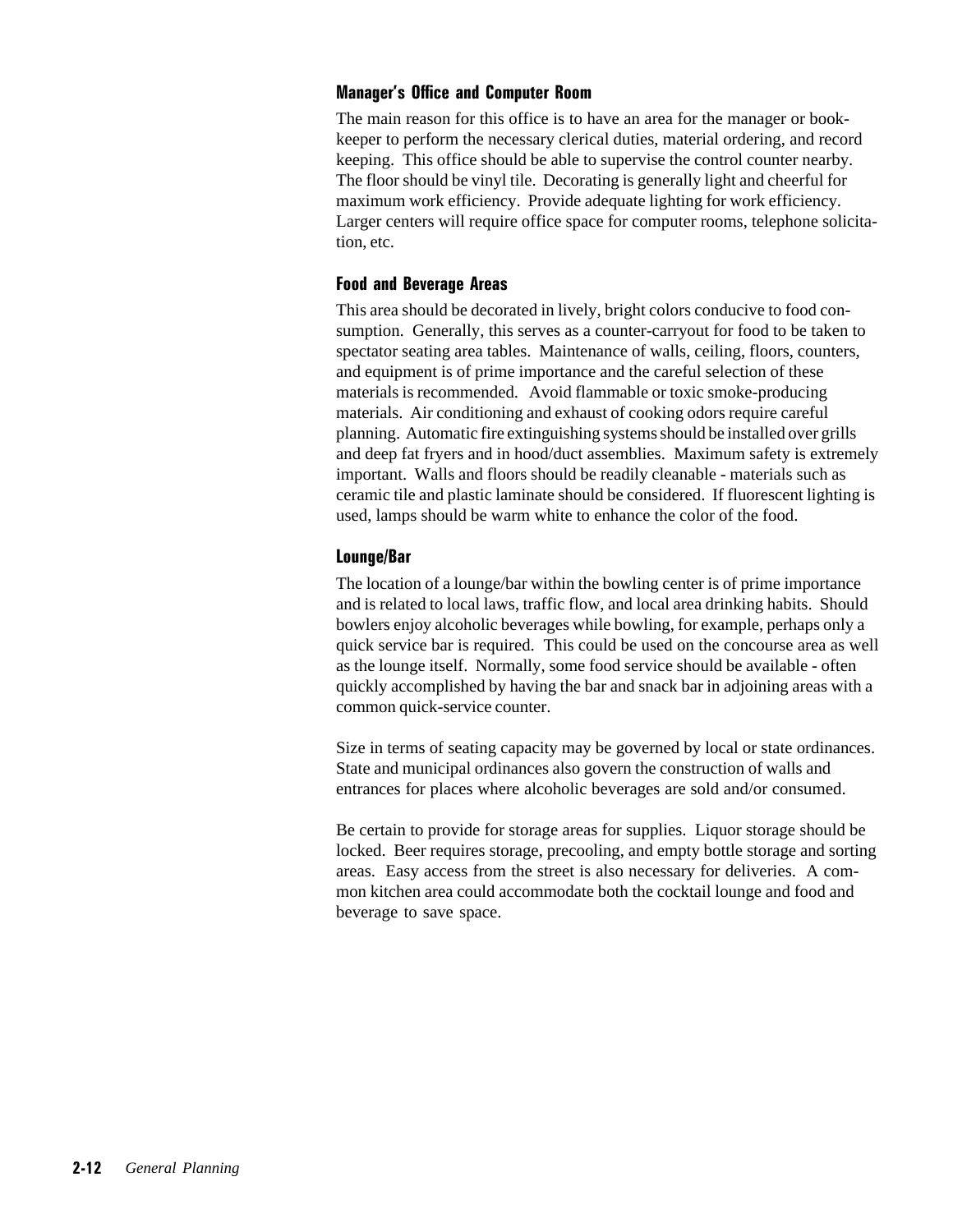#### Manager's Office and Computer Room

The main reason for this office is to have an area for the manager or bookkeeper to perform the necessary clerical duties, material ordering, and record keeping. This office should be able to supervise the control counter nearby. The floor should be vinyl tile. Decorating is generally light and cheerful for maximum work efficiency. Provide adequate lighting for work efficiency. Larger centers will require office space for computer rooms, telephone solicitation, etc.

#### Food and Beverage Areas

This area should be decorated in lively, bright colors conducive to food consumption. Generally, this serves as a counter-carryout for food to be taken to spectator seating area tables. Maintenance of walls, ceiling, floors, counters, and equipment is of prime importance and the careful selection of these materials is recommended. Avoid flammable or toxic smoke-producing materials. Air conditioning and exhaust of cooking odors require careful planning. Automatic fire extinguishing systems should be installed over grills and deep fat fryers and in hood/duct assemblies. Maximum safety is extremely important. Walls and floors should be readily cleanable - materials such as ceramic tile and plastic laminate should be considered. If fluorescent lighting is used, lamps should be warm white to enhance the color of the food.

#### Lounge/Bar

The location of a lounge/bar within the bowling center is of prime importance and is related to local laws, traffic flow, and local area drinking habits. Should bowlers enjoy alcoholic beverages while bowling, for example, perhaps only a quick service bar is required. This could be used on the concourse area as well as the lounge itself. Normally, some food service should be available - often quickly accomplished by having the bar and snack bar in adjoining areas with a common quick-service counter.

Size in terms of seating capacity may be governed by local or state ordinances. State and municipal ordinances also govern the construction of walls and entrances for places where alcoholic beverages are sold and/or consumed.

Be certain to provide for storage areas for supplies. Liquor storage should be locked. Beer requires storage, precooling, and empty bottle storage and sorting areas. Easy access from the street is also necessary for deliveries. A common kitchen area could accommodate both the cocktail lounge and food and beverage to save space.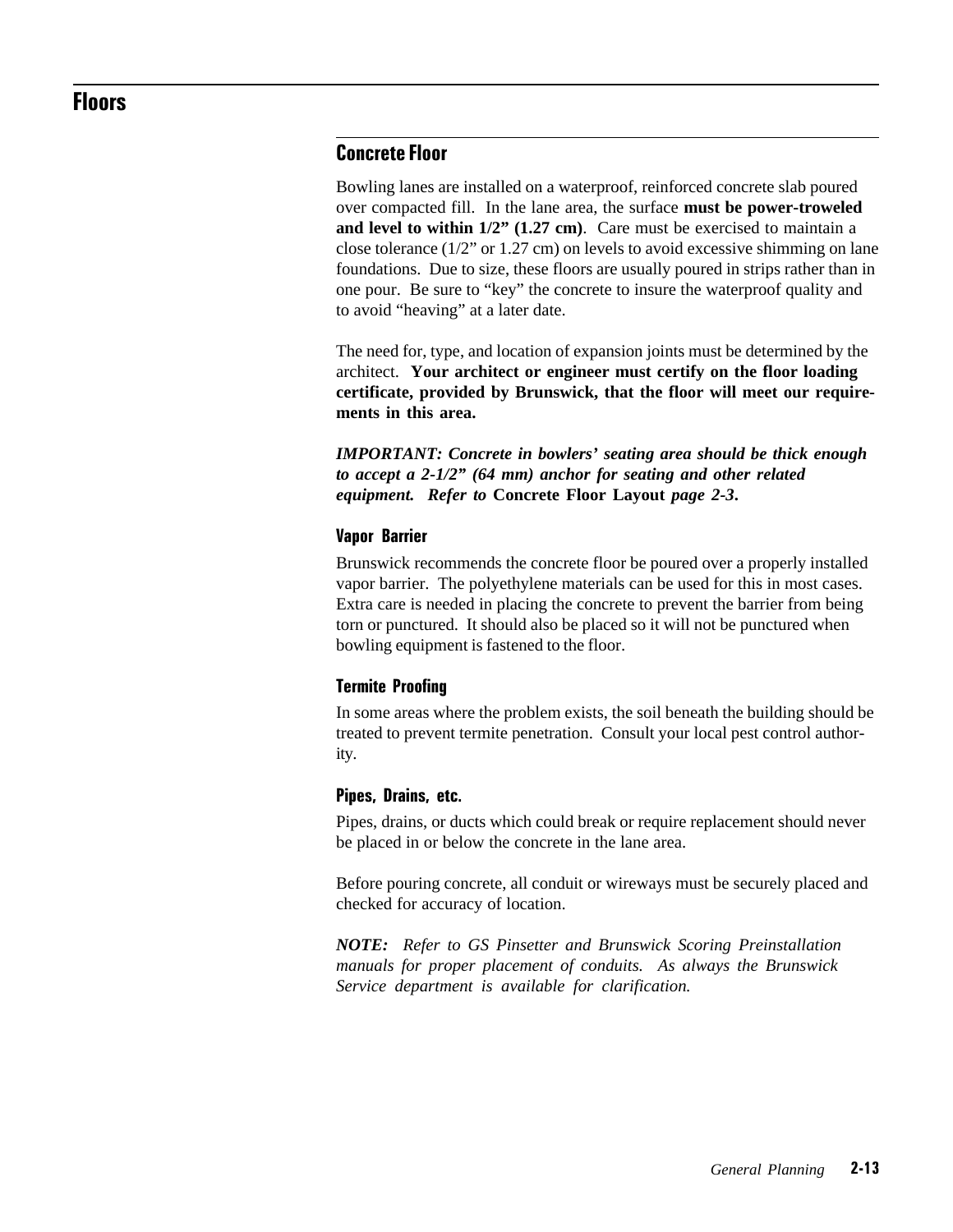## Floors

## Concrete Floor

Bowling lanes are installed on a waterproof, reinforced concrete slab poured over compacted fill. In the lane area, the surface **must be power-troweled and level to within 1/2" (1.27 cm)**. Care must be exercised to maintain a close tolerance (1/2" or 1.27 cm) on levels to avoid excessive shimming on lane foundations. Due to size, these floors are usually poured in strips rather than in one pour. Be sure to "key" the concrete to insure the waterproof quality and to avoid "heaving" at a later date.

The need for, type, and location of expansion joints must be determined by the architect. **Your architect or engineer must certify on the floor loading certificate, provided by Brunswick, that the floor will meet our requirements in this area.**

*IMPORTANT: Concrete in bowlers' seating area should be thick enough to accept a 2-1/2" (64 mm) anchor for seating and other related equipment. Refer to* **Concrete Floor Layout** *page 2-3***.**

#### Vapor Barrier

Brunswick recommends the concrete floor be poured over a properly installed vapor barrier. The polyethylene materials can be used for this in most cases. Extra care is needed in placing the concrete to prevent the barrier from being torn or punctured. It should also be placed so it will not be punctured when bowling equipment is fastened to the floor.

#### Termite Proofing

In some areas where the problem exists, the soil beneath the building should be treated to prevent termite penetration. Consult your local pest control authority.

#### Pipes, Drains, etc.

Pipes, drains, or ducts which could break or require replacement should never be placed in or below the concrete in the lane area.

Before pouring concrete, all conduit or wireways must be securely placed and checked for accuracy of location.

*NOTE: Refer to GS Pinsetter and Brunswick Scoring Preinstallation manuals for proper placement of conduits. As always the Brunswick Service department is available for clarification.*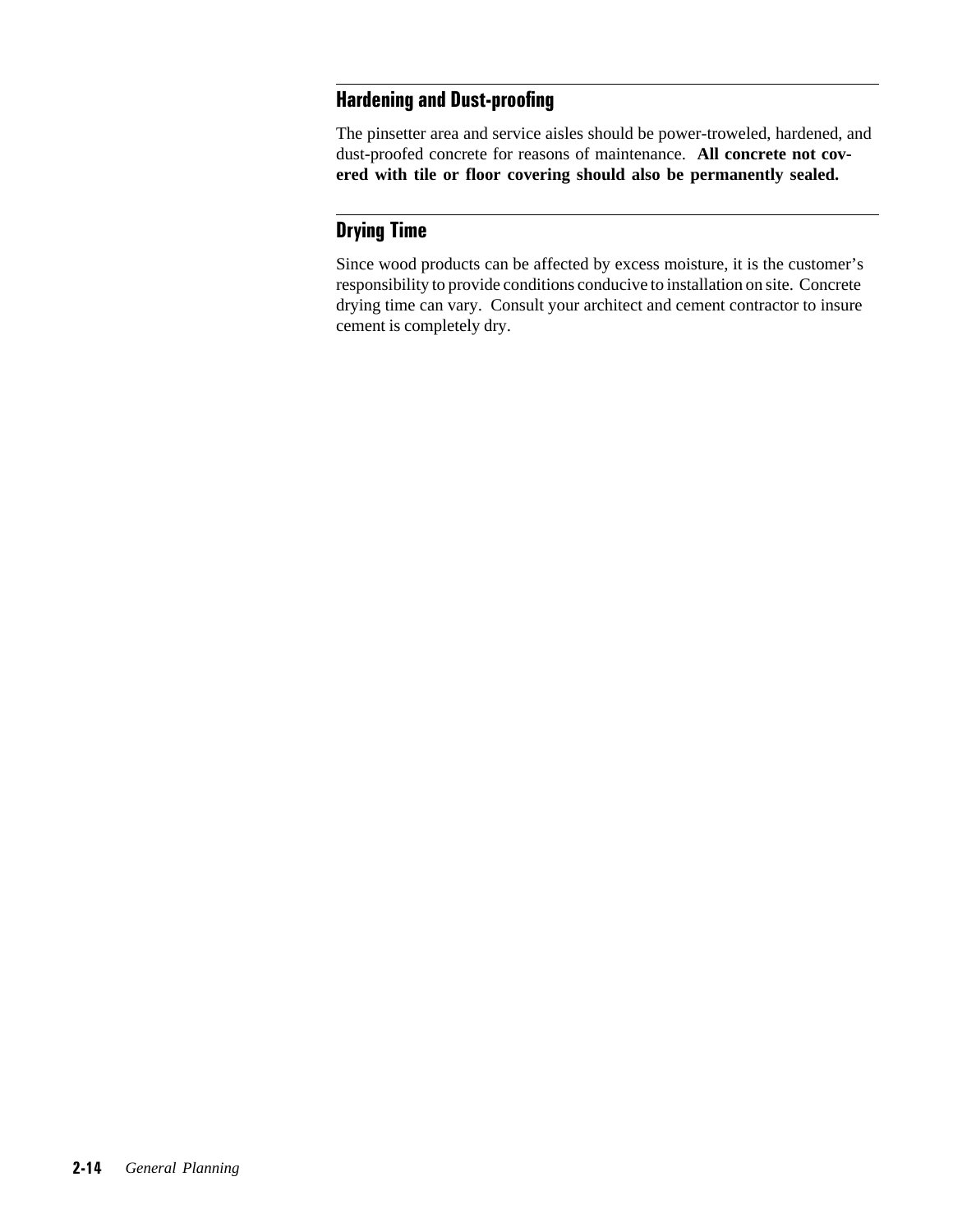# Hardening and Dust-proofing

The pinsetter area and service aisles should be power-troweled, hardened, and dust-proofed concrete for reasons of maintenance. **All concrete not covered with tile or floor covering should also be permanently sealed.**

# Drying Time

Since wood products can be affected by excess moisture, it is the customer's responsibility to provide conditions conducive to installation on site. Concrete drying time can vary. Consult your architect and cement contractor to insure cement is completely dry.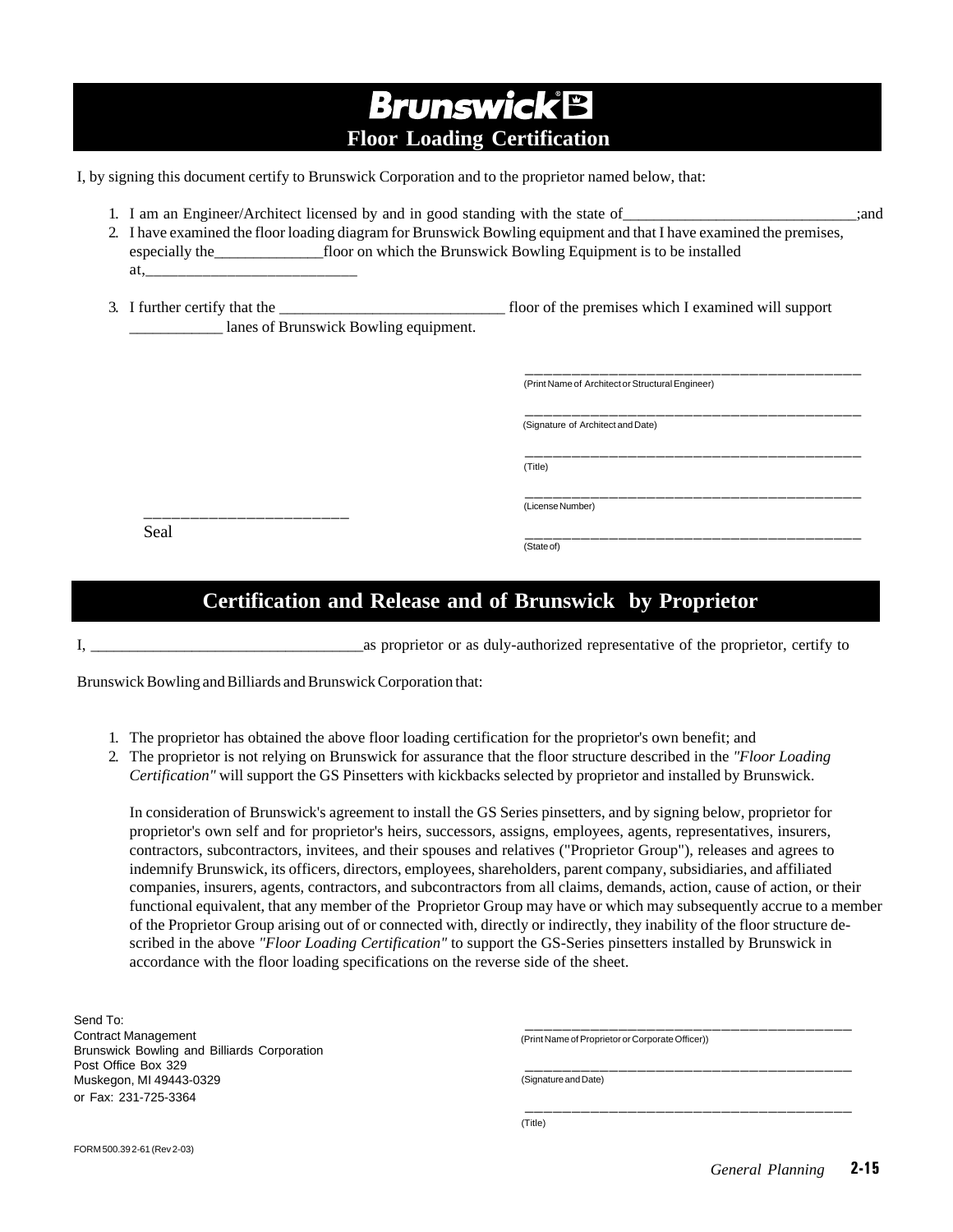# **Brunswick B Floor Loading Certification**

I, by signing this document certify to Brunswick Corporation and to the proprietor named below, that:

- 1. I am an Engineer/Architect licensed by and in good standing with the state of\_\_\_\_\_\_\_\_\_\_\_\_\_\_\_\_\_\_\_\_\_\_\_\_\_\_\_\_\_\_;and
- 2. I have examined the floor loading diagram for Brunswick Bowling equipment and that I have examined the premises, especially the\_\_\_\_\_\_\_\_\_\_\_\_\_\_floor on which the Brunswick Bowling Equipment is to be installed  $at, \_\_\_\_\_\_\_$

| 3. I further certify that the $\overline{\phantom{a}}$<br>lanes of Brunswick Bowling equipment. | floor of the premises which I examined will support |
|-------------------------------------------------------------------------------------------------|-----------------------------------------------------|
|                                                                                                 | (Print Name of Architect or Structural Engineer)    |
|                                                                                                 | (Signature of Architect and Date)                   |
|                                                                                                 | (Title)                                             |
|                                                                                                 | (License Number)                                    |
| Seal                                                                                            | (State of)                                          |

# **Certification and Release and of Brunswick by Proprietor**

I, **Example 2018** I. **Example 2018** as proprietor or as duly-authorized representative of the proprietor, certify to

Brunswick Bowling and Billiards and Brunswick Corporation that:

- 1. The proprietor has obtained the above floor loading certification for the proprietor's own benefit; and
- 2. The proprietor is not relying on Brunswick for assurance that the floor structure described in the *"Floor Loading Certification"* will support the GS Pinsetters with kickbacks selected by proprietor and installed by Brunswick.

In consideration of Brunswick's agreement to install the GS Series pinsetters, and by signing below, proprietor for proprietor's own self and for proprietor's heirs, successors, assigns, employees, agents, representatives, insurers, contractors, subcontractors, invitees, and their spouses and relatives ("Proprietor Group"), releases and agrees to indemnify Brunswick, its officers, directors, employees, shareholders, parent company, subsidiaries, and affiliated companies, insurers, agents, contractors, and subcontractors from all claims, demands, action, cause of action, or their functional equivalent, that any member of the Proprietor Group may have or which may subsequently accrue to a member of the Proprietor Group arising out of or connected with, directly or indirectly, they inability of the floor structure described in the above *"Floor Loading Certification"* to support the GS-Series pinsetters installed by Brunswick in accordance with the floor loading specifications on the reverse side of the sheet.

| Send To:                                    |                                                  |
|---------------------------------------------|--------------------------------------------------|
| <b>Contract Management</b>                  | (Print Name of Proprietor or Corporate Officer)) |
| Brunswick Bowling and Billiards Corporation |                                                  |
| Post Office Box 329                         |                                                  |
| Muskegon, MI 49443-0329                     | (Signature and Date)                             |
| or Fax: 231-725-3364                        |                                                  |
|                                             | (Title)                                          |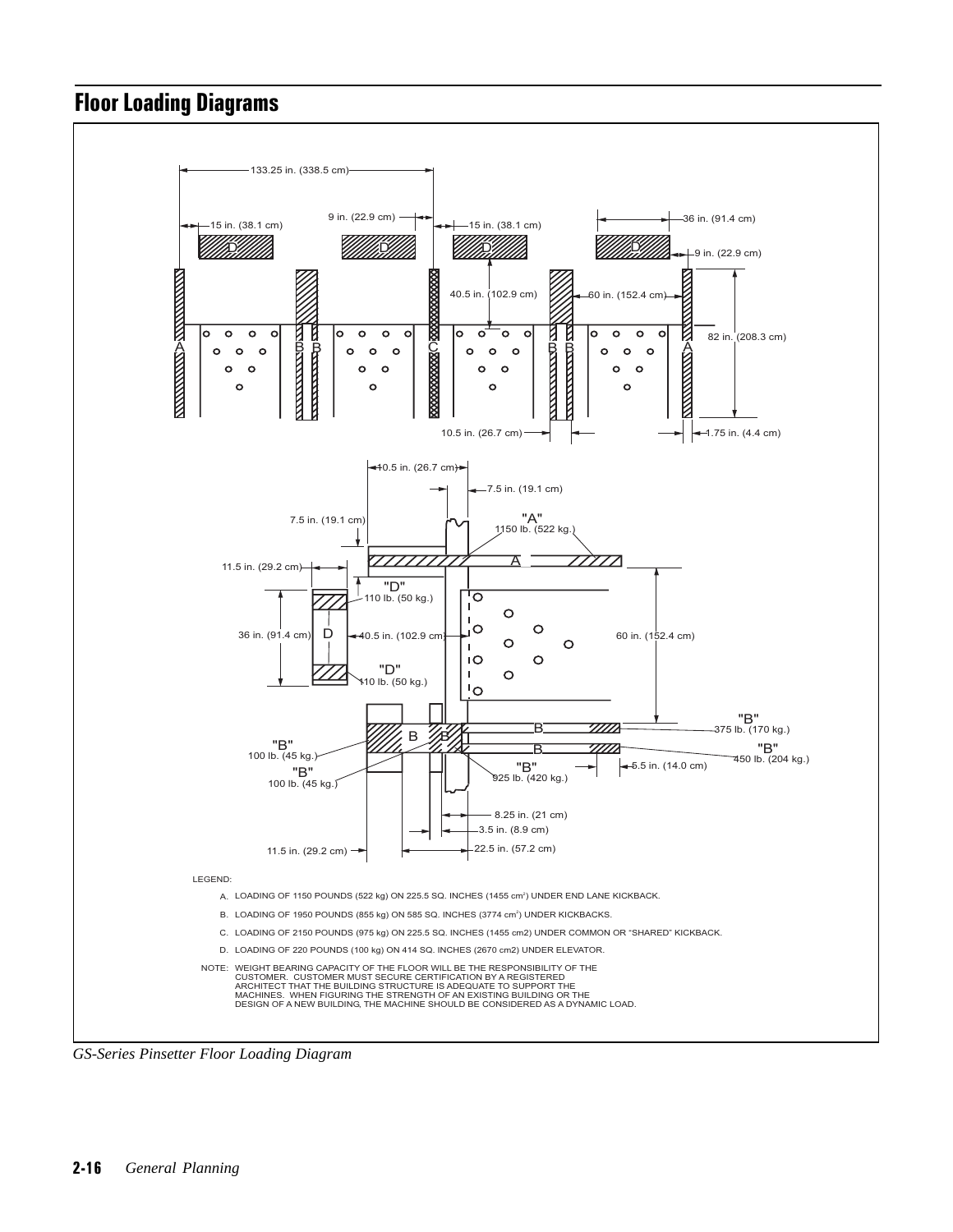# Floor Loading Diagrams



*GS-Series Pinsetter Floor Loading Diagram*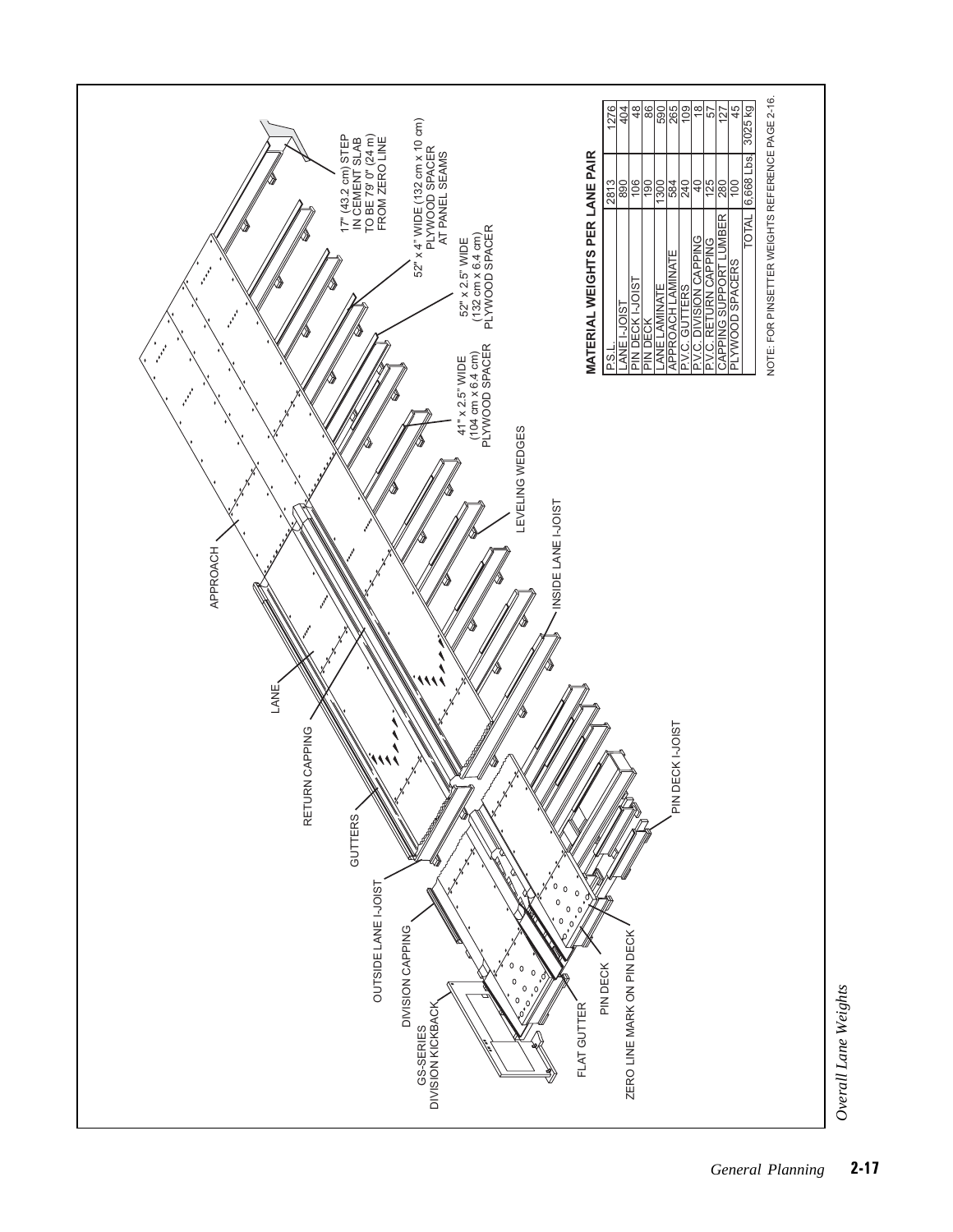

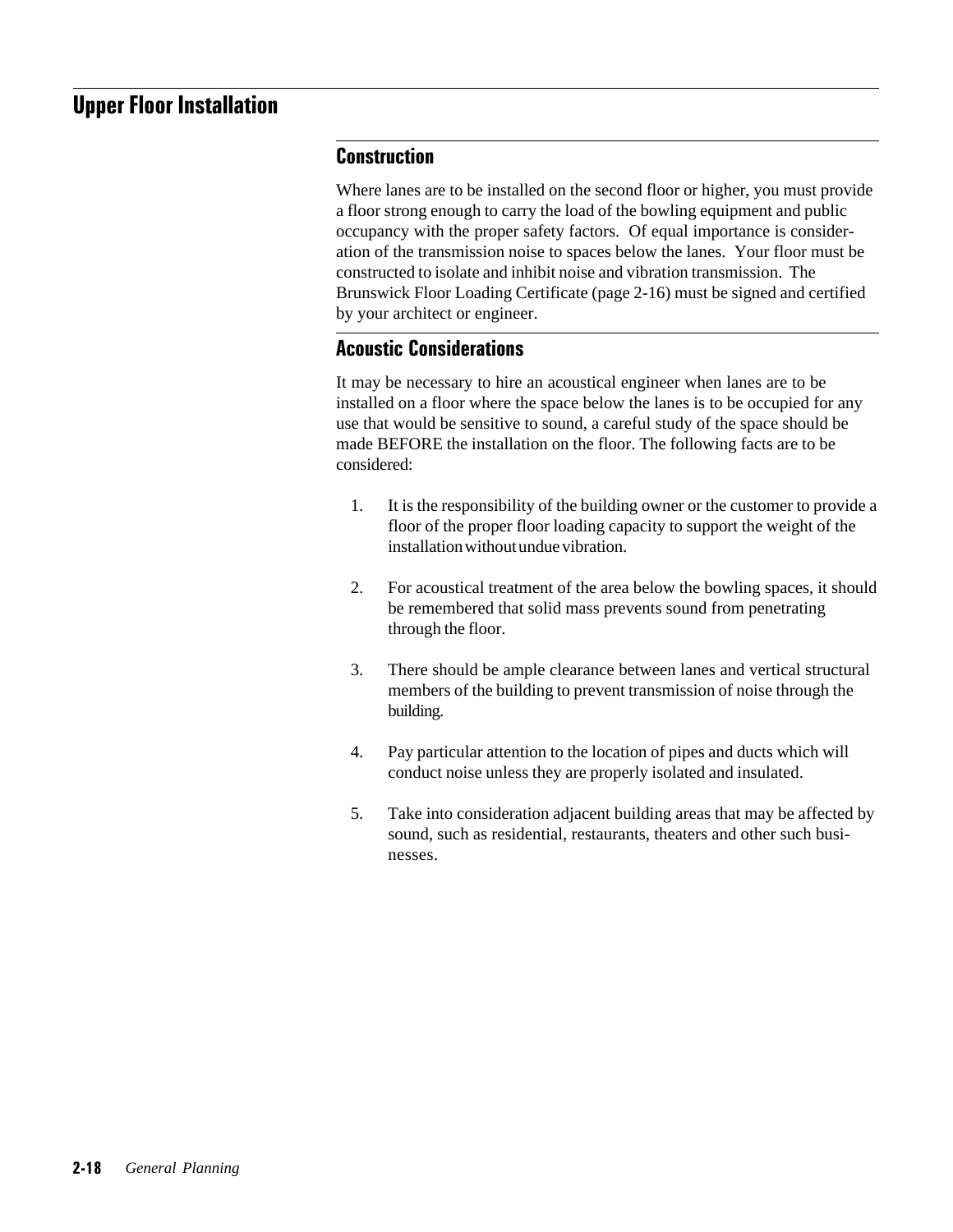# Upper Floor Installation

## **Construction**

Where lanes are to be installed on the second floor or higher, you must provide a floor strong enough to carry the load of the bowling equipment and public occupancy with the proper safety factors. Of equal importance is consideration of the transmission noise to spaces below the lanes. Your floor must be constructed to isolate and inhibit noise and vibration transmission. The Brunswick Floor Loading Certificate (page 2-16) must be signed and certified by your architect or engineer.

## Acoustic Considerations

It may be necessary to hire an acoustical engineer when lanes are to be installed on a floor where the space below the lanes is to be occupied for any use that would be sensitive to sound, a careful study of the space should be made BEFORE the installation on the floor. The following facts are to be considered:

- 1. It is the responsibility of the building owner or the customer to provide a floor of the proper floor loading capacity to support the weight of the installation without undue vibration.
- 2. For acoustical treatment of the area below the bowling spaces, it should be remembered that solid mass prevents sound from penetrating through the floor.
- 3. There should be ample clearance between lanes and vertical structural members of the building to prevent transmission of noise through the building.
- 4. Pay particular attention to the location of pipes and ducts which will conduct noise unless they are properly isolated and insulated.
- 5. Take into consideration adjacent building areas that may be affected by sound, such as residential, restaurants, theaters and other such businesses.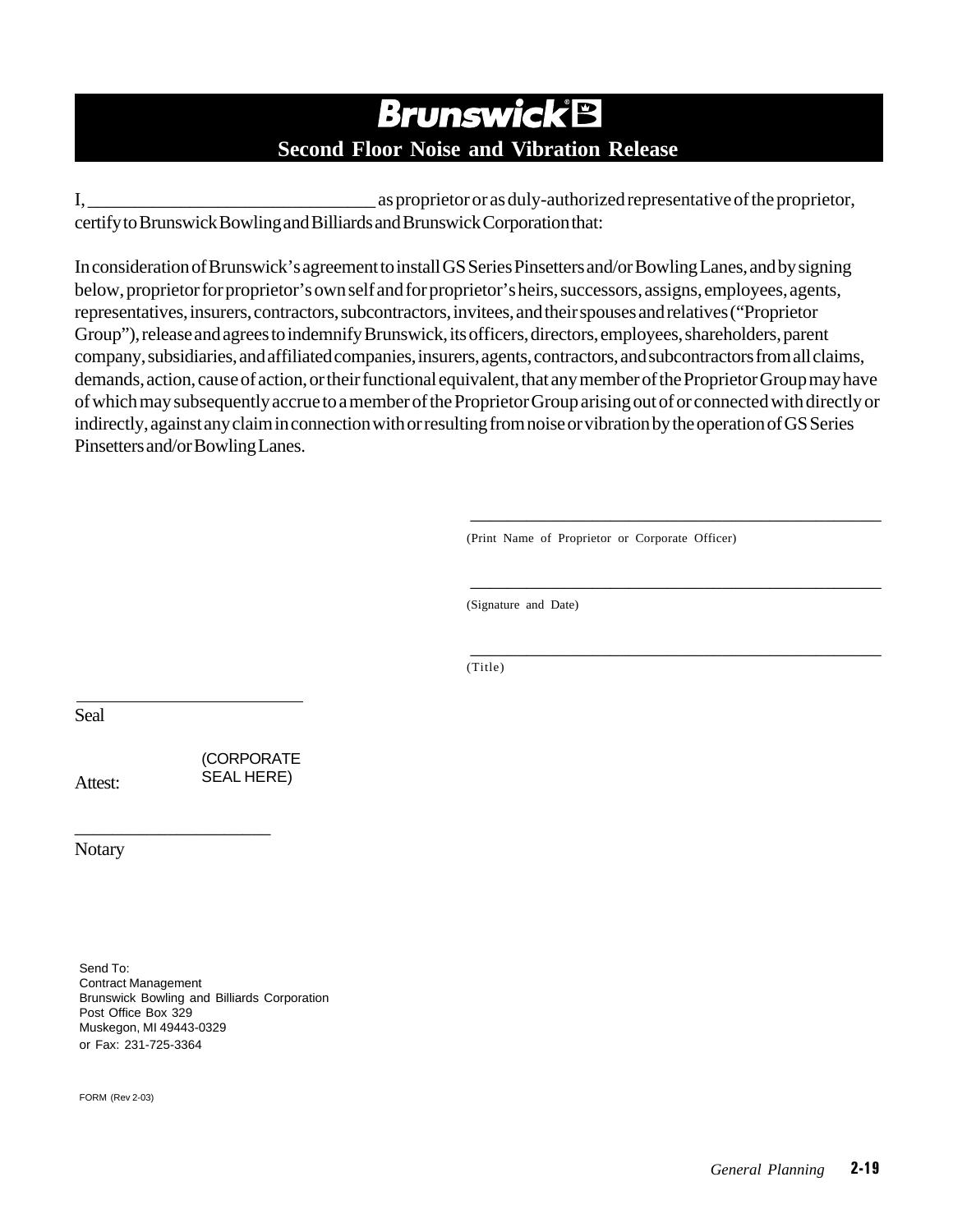# **Brunswick<sup>®</sup>**

# **Second Floor Noise and Vibration Release**

I, as proprietor or as duly-authorized representative of the proprietor, certify to Brunswick Bowling and Billiards and Brunswick Corporation that:

In consideration of Brunswick's agreement to install GS Series Pinsetters and/or Bowling Lanes, and by signing below, proprietor for proprietor's own self and for proprietor's heirs, successors, assigns, employees, agents, representatives, insurers, contractors, subcontractors, invitees, and their spouses and relatives ("Proprietor Group"), release and agrees to indemnify Brunswick, its officers, directors, employees, shareholders, parent company, subsidiaries, and affiliated companies, insurers, agents, contractors, and subcontractors from all claims, demands, action, cause of action, or their functional equivalent, that any member of the Proprietor Group may have of which may subsequently accrue to a member of the Proprietor Group arising out of or connected with directly or indirectly, against any claim in connection with or resulting from noise or vibration by the operation of GS Series Pinsetters and/or Bowling Lanes.

(Print Name of Proprietor or Corporate Officer)

\_\_\_\_\_\_\_\_\_\_\_\_\_\_\_\_\_\_\_\_\_\_\_\_\_\_\_\_\_\_\_\_\_\_\_\_\_\_\_\_\_\_\_\_

\_\_\_\_\_\_\_\_\_\_\_\_\_\_\_\_\_\_\_\_\_\_\_\_\_\_\_\_\_\_\_\_\_\_\_\_\_\_\_\_\_\_\_\_

\_\_\_\_\_\_\_\_\_\_\_\_\_\_\_\_\_\_\_\_\_\_\_\_\_\_\_\_\_\_\_\_\_\_\_\_\_\_\_\_\_\_\_\_

(Signature and Date)

(Title)

Seal

| (CORPORATE |
|------------|
| SEAL HERE) |

\_\_\_\_\_\_\_\_\_\_\_\_\_\_\_\_\_\_\_\_\_ **Notary** 

Attest:

Send To: Contract Management Brunswick Bowling and Billiards Corporation Post Office Box 329 Muskegon, MI 49443-0329 or Fax: 231-725-3364

FORM (Rev 2-03)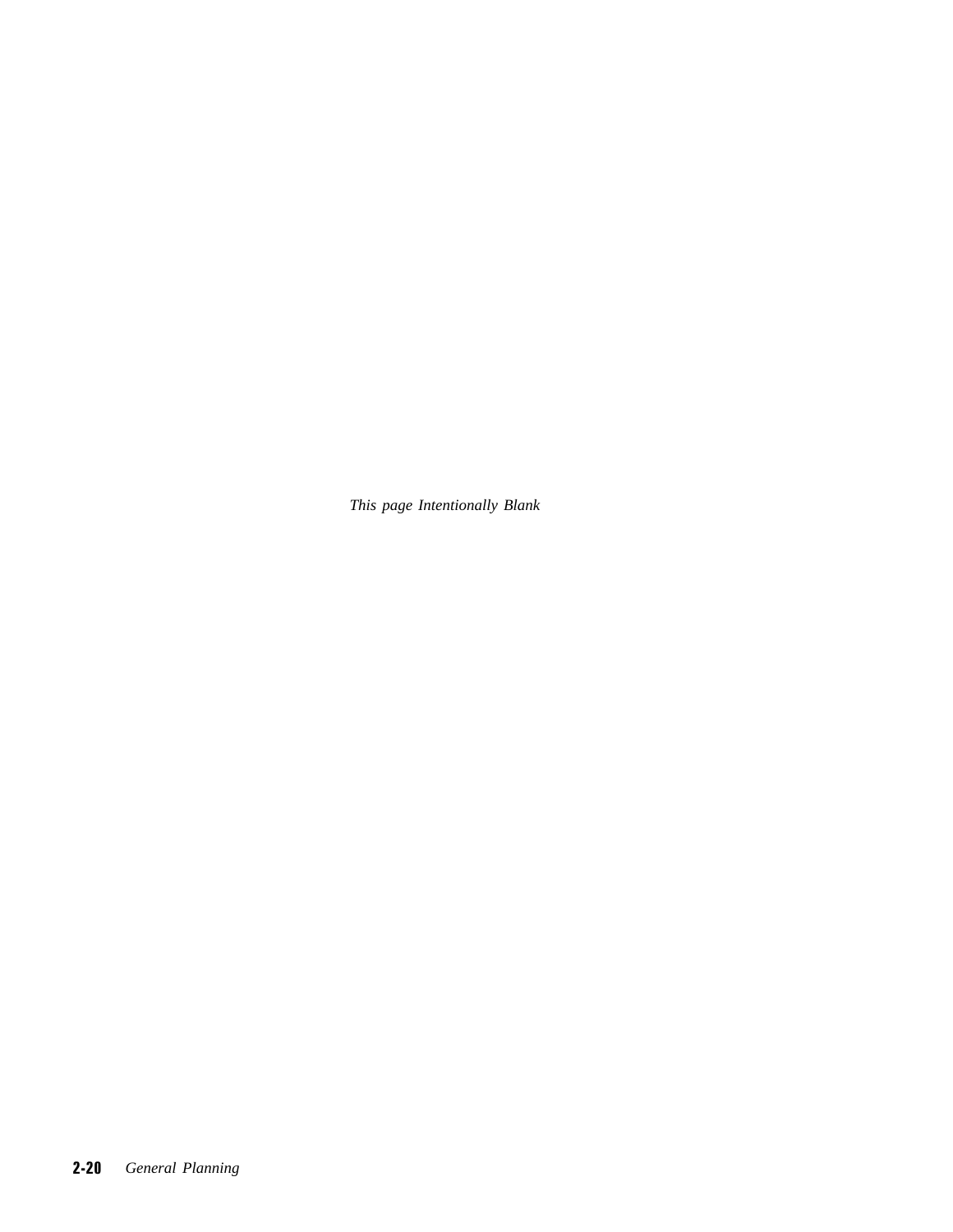*This page Intentionally Blank*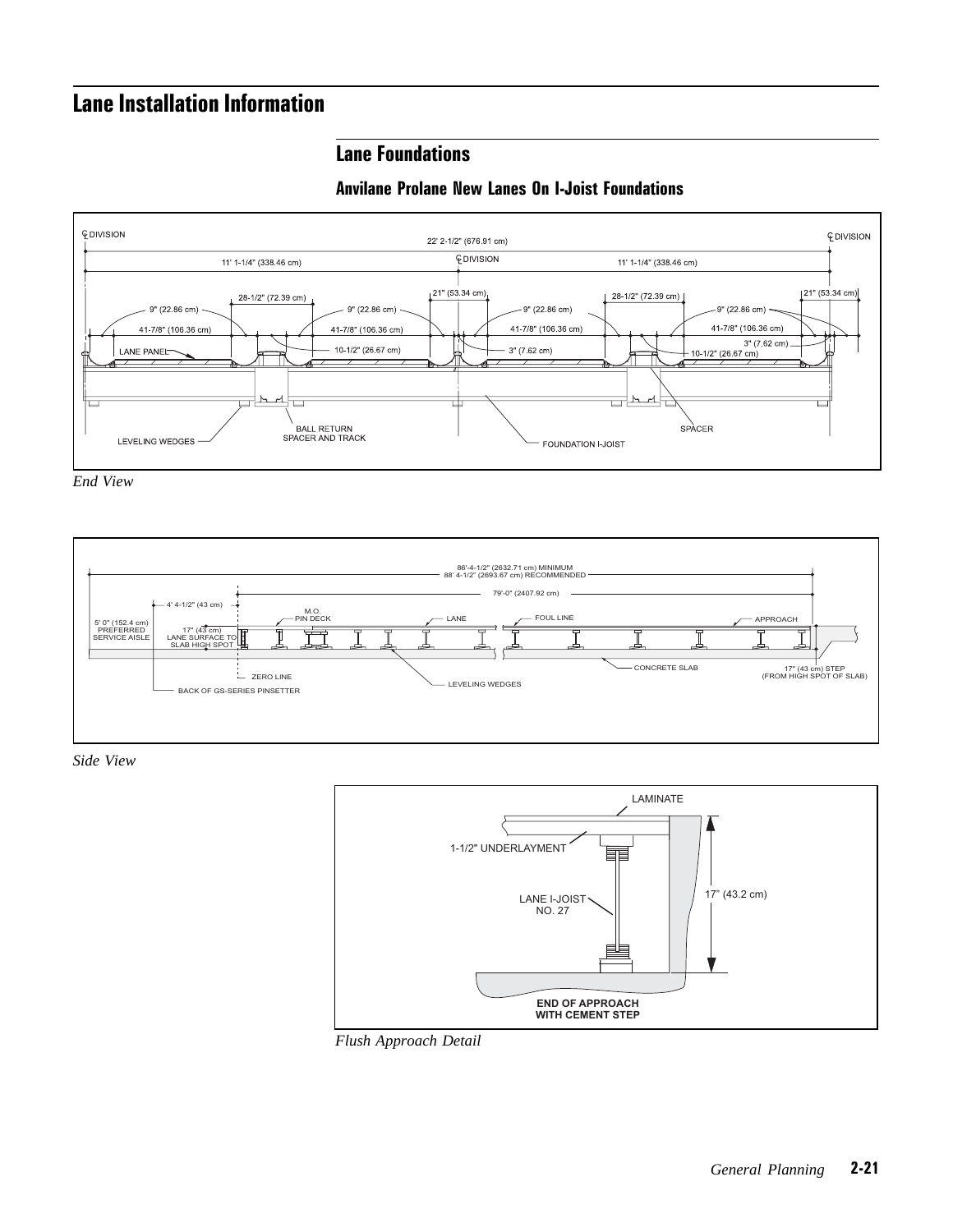# Lane Installation Information

# Lane Foundations

## Anvilane Prolane New Lanes On I-Joist Foundations



*End View*



*Side View*



*Flush Approach Detail*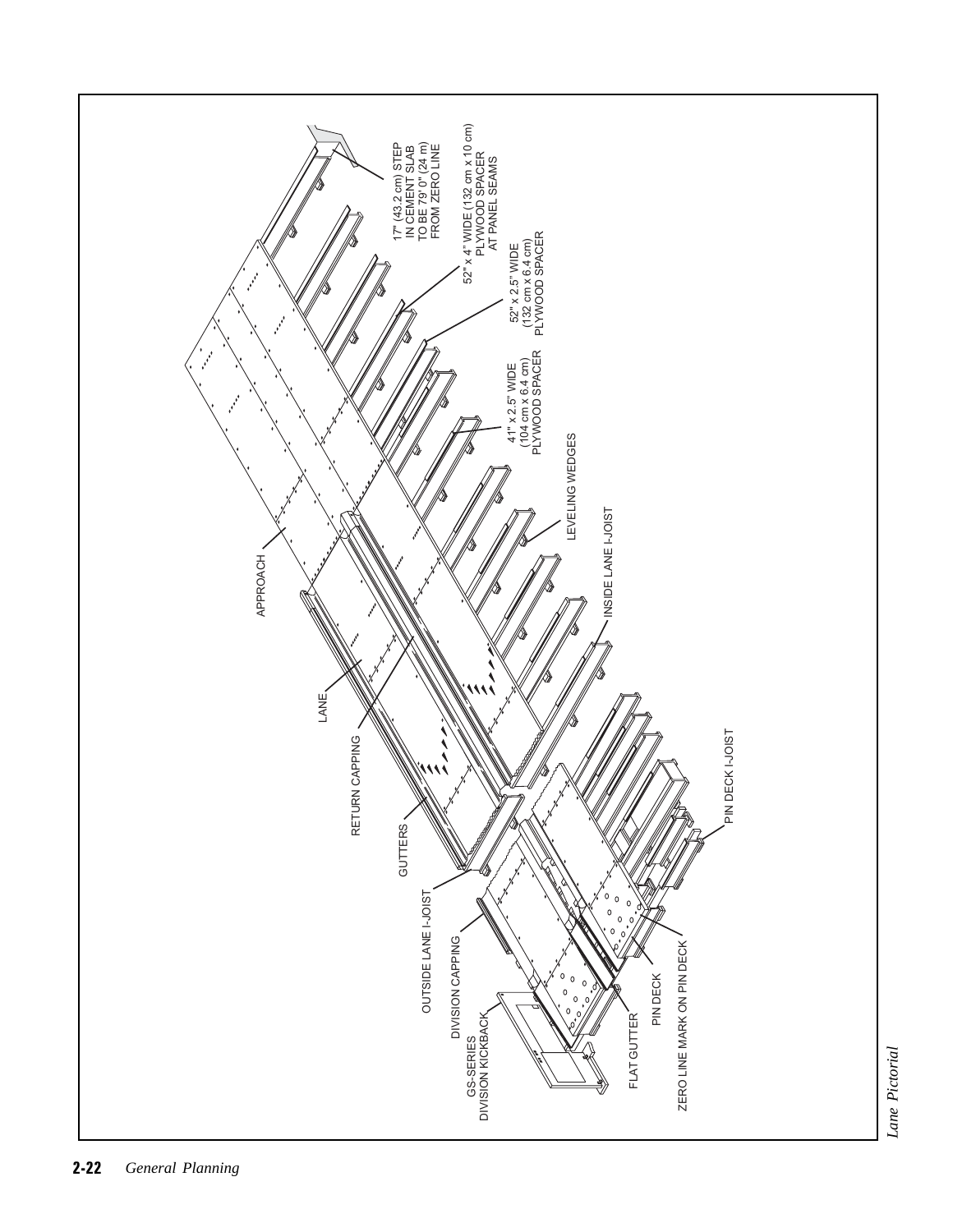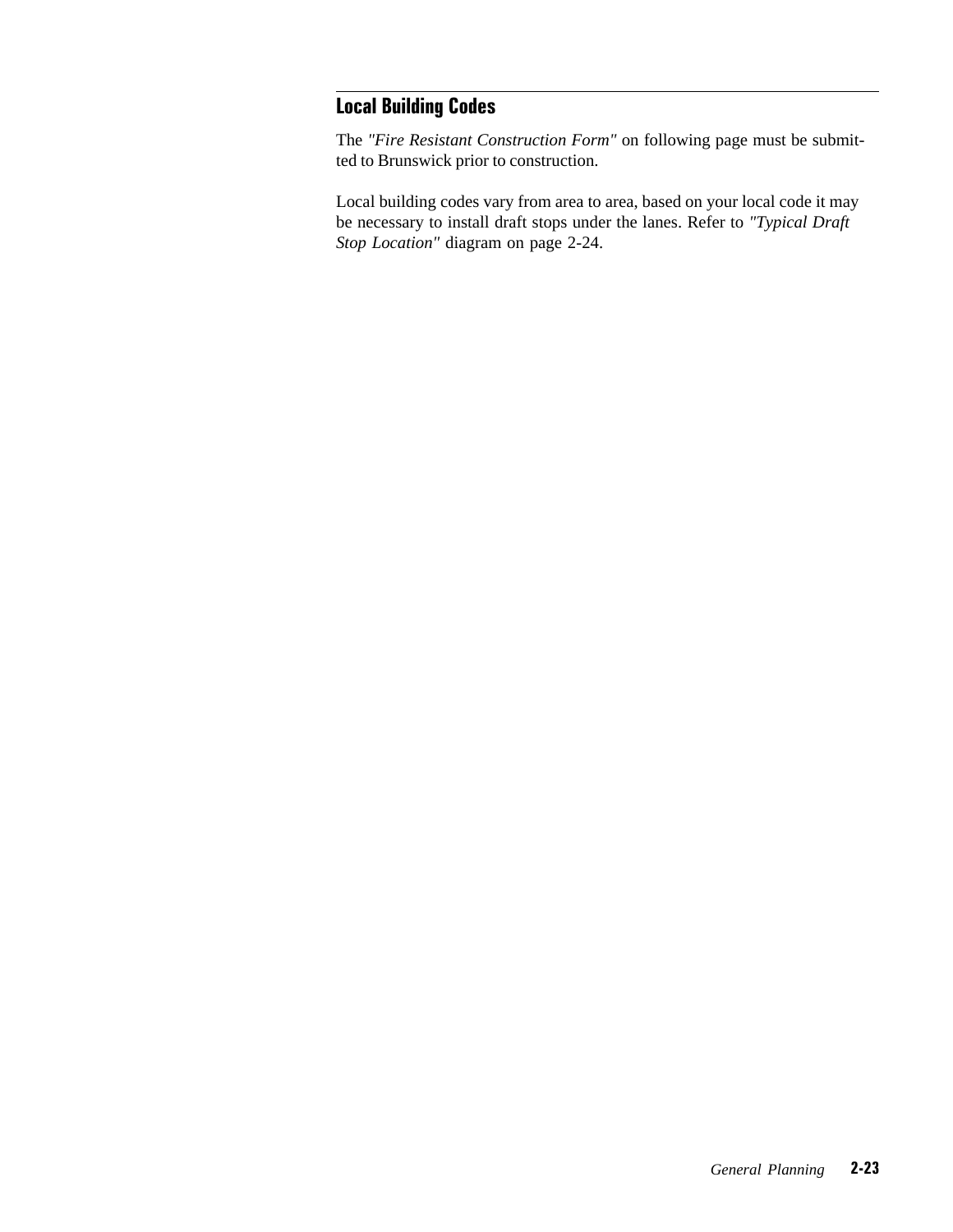# Local Building Codes

The *"Fire Resistant Construction Form"* on following page must be submitted to Brunswick prior to construction.

Local building codes vary from area to area, based on your local code it may be necessary to install draft stops under the lanes. Refer to *"Typical Draft Stop Location"* diagram on page 2-24.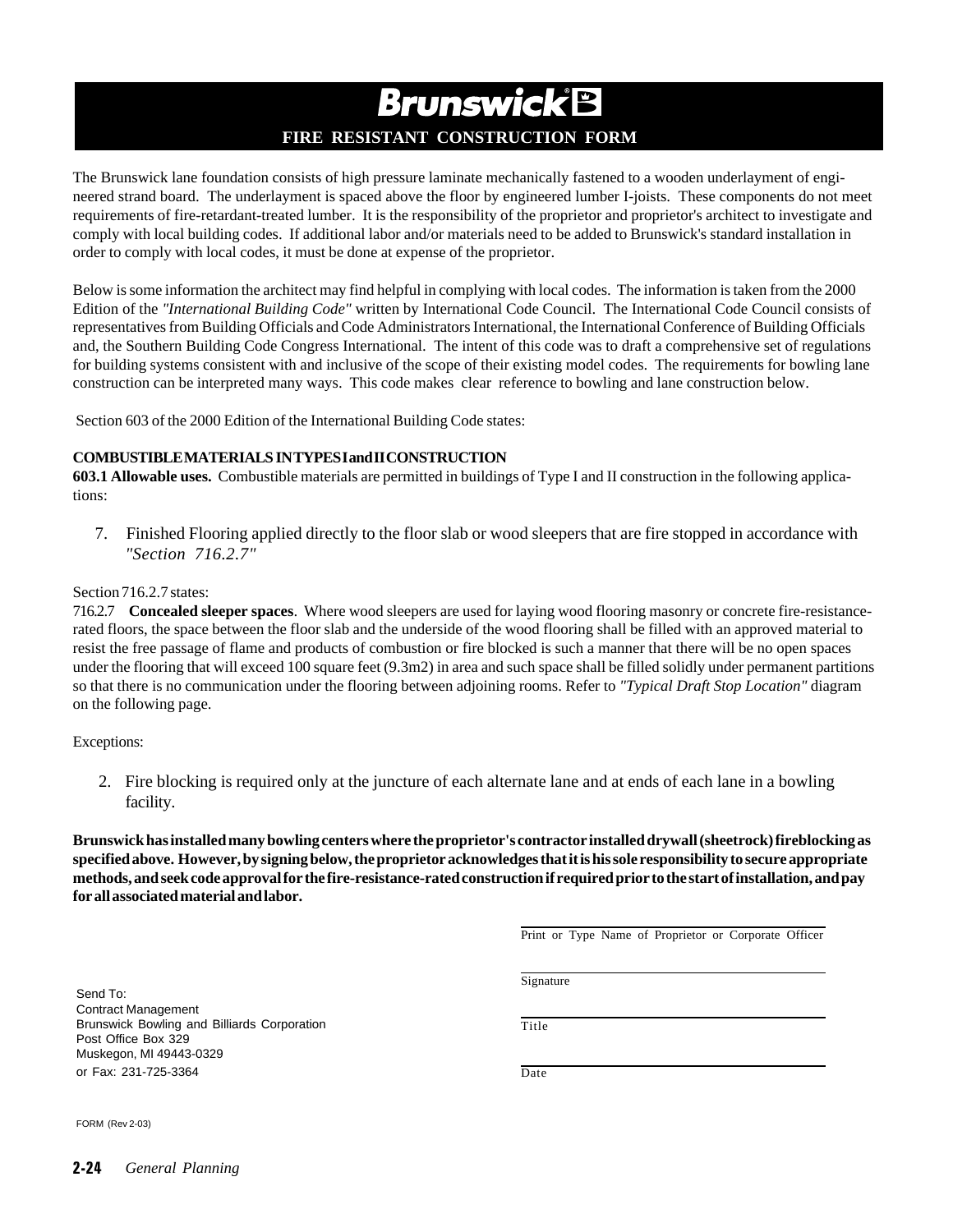# **Brunswick<sup>®</sup> FIRE RESISTANT CONSTRUCTION FORM**

The Brunswick lane foundation consists of high pressure laminate mechanically fastened to a wooden underlayment of engineered strand board. The underlayment is spaced above the floor by engineered lumber I-joists. These components do not meet requirements of fire-retardant-treated lumber. It is the responsibility of the proprietor and proprietor's architect to investigate and comply with local building codes. If additional labor and/or materials need to be added to Brunswick's standard installation in order to comply with local codes, it must be done at expense of the proprietor.

Below is some information the architect may find helpful in complying with local codes. The information is taken from the 2000 Edition of the *"International Building Code"* written by International Code Council. The International Code Council consists of representatives from Building Officials and Code Administrators International, the International Conference of Building Officials and, the Southern Building Code Congress International. The intent of this code was to draft a comprehensive set of regulations for building systems consistent with and inclusive of the scope of their existing model codes. The requirements for bowling lane construction can be interpreted many ways. This code makes clear reference to bowling and lane construction below.

Section 603 of the 2000 Edition of the International Building Code states:

#### **COMBUSTIBLE MATERIALS IN TYPES I and II CONSTRUCTION**

**603.1 Allowable uses.** Combustible materials are permitted in buildings of Type I and II construction in the following applications:

7. Finished Flooring applied directly to the floor slab or wood sleepers that are fire stopped in accordance with *"Section 716.2.7"*

#### Section 716.2.7 states:

716.2.7 **Concealed sleeper spaces**. Where wood sleepers are used for laying wood flooring masonry or concrete fire-resistancerated floors, the space between the floor slab and the underside of the wood flooring shall be filled with an approved material to resist the free passage of flame and products of combustion or fire blocked is such a manner that there will be no open spaces under the flooring that will exceed 100 square feet (9.3m2) in area and such space shall be filled solidly under permanent partitions so that there is no communication under the flooring between adjoining rooms. Refer to *"Typical Draft Stop Location"* diagram on the following page.

Exceptions:

2. Fire blocking is required only at the juncture of each alternate lane and at ends of each lane in a bowling facility.

**Brunswick has installed many bowling centers where the proprietor's contractor installed drywall (sheetrock) fireblocking as specified above. However, by signing below, the proprietor acknowledges that it is his sole responsibility to secure appropriate methods, and seek code approval for the fire-resistance-rated construction if required prior to the start of installation, and pay for all associated material and labor.**

Print or Type Name of Proprietor or Corporate Officer

**Signature** 

Contract Management Brunswick Bowling and Billiards Corporation Post Office Box 329 Muskegon, MI 49443-0329 or Fax: 231-725-3364

Title

Date

FORM (Rev 2-03)

Send To: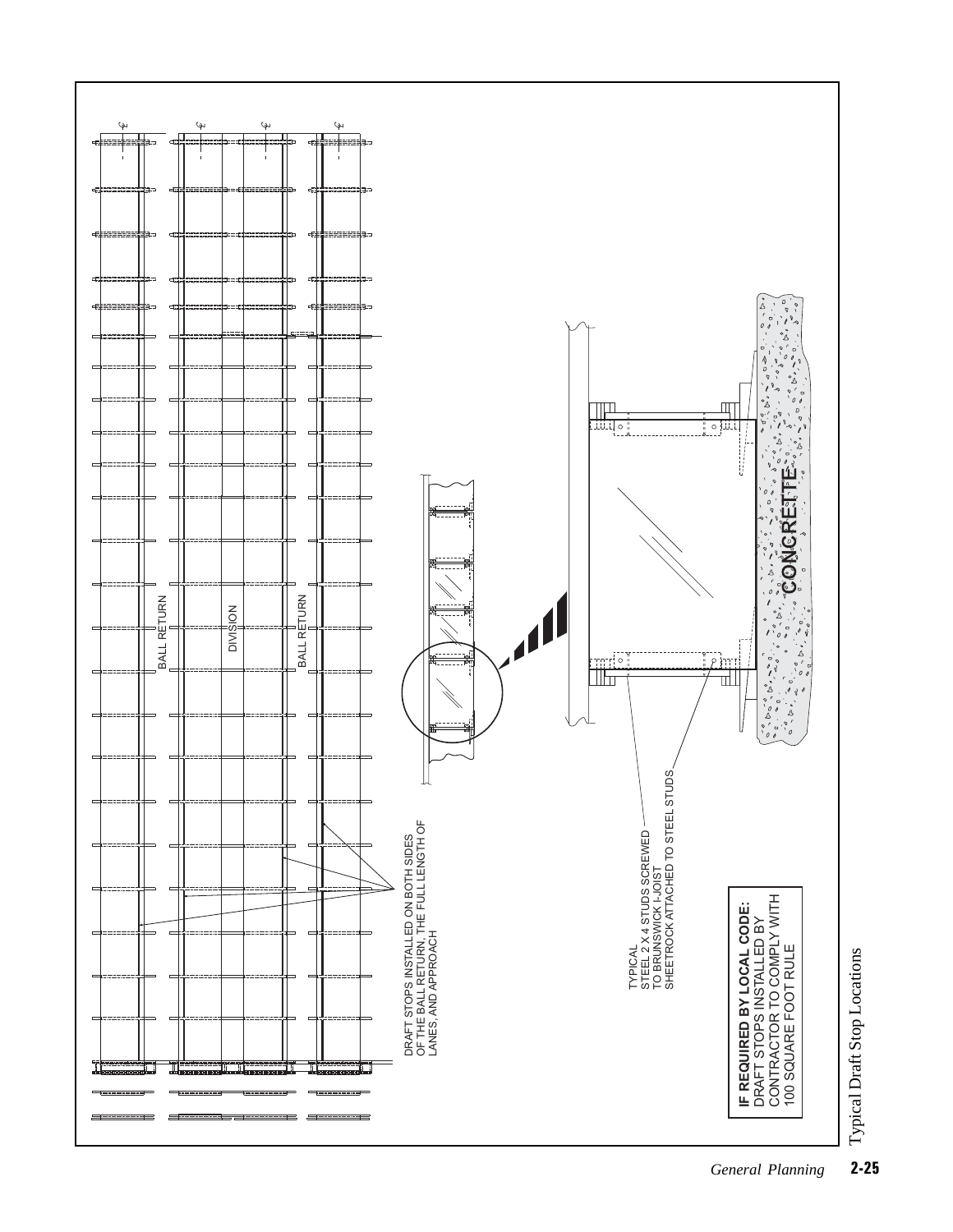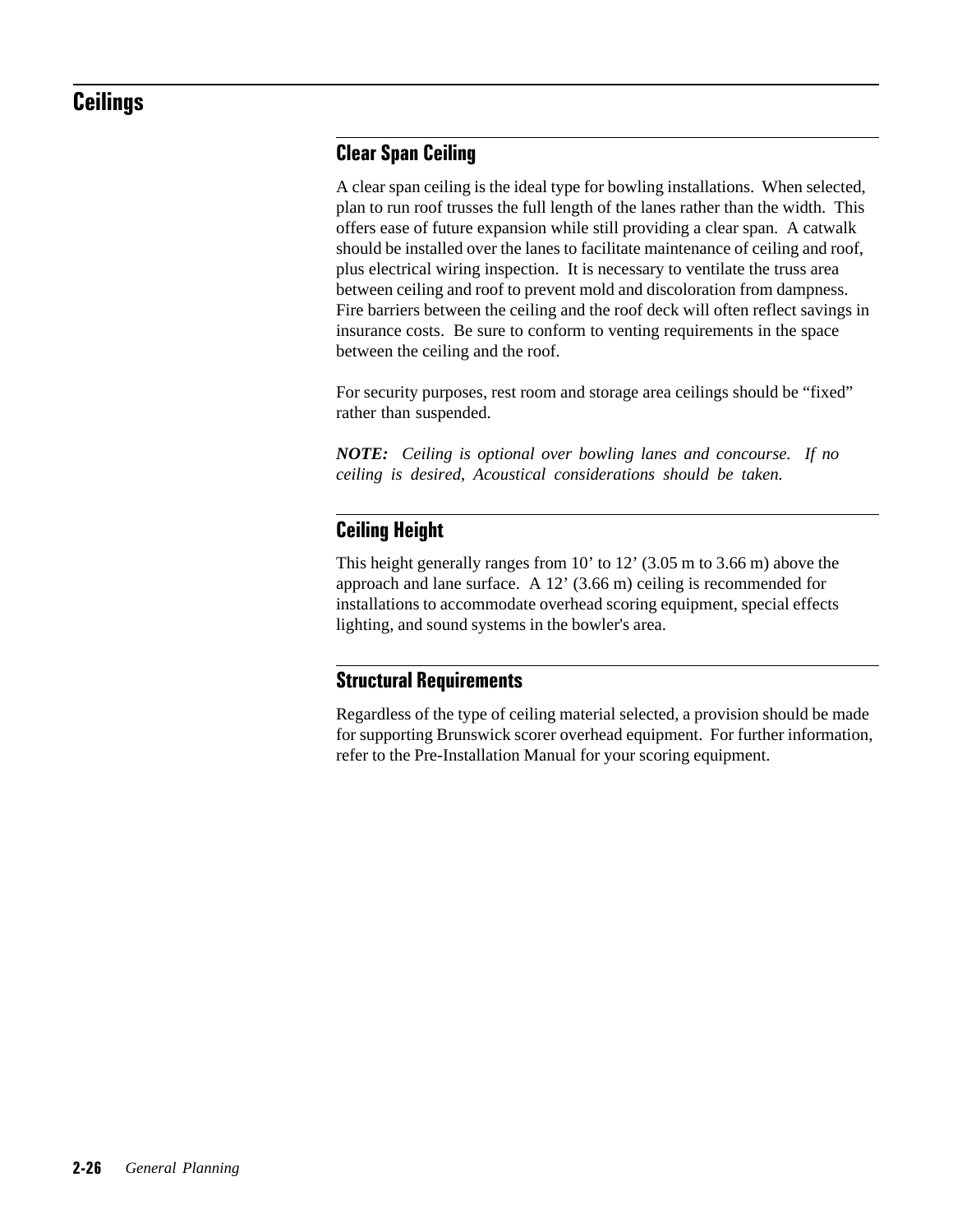# **Ceilings**

## Clear Span Ceiling

A clear span ceiling is the ideal type for bowling installations. When selected, plan to run roof trusses the full length of the lanes rather than the width. This offers ease of future expansion while still providing a clear span. A catwalk should be installed over the lanes to facilitate maintenance of ceiling and roof, plus electrical wiring inspection. It is necessary to ventilate the truss area between ceiling and roof to prevent mold and discoloration from dampness. Fire barriers between the ceiling and the roof deck will often reflect savings in insurance costs. Be sure to conform to venting requirements in the space between the ceiling and the roof.

For security purposes, rest room and storage area ceilings should be "fixed" rather than suspended.

*NOTE: Ceiling is optional over bowling lanes and concourse. If no ceiling is desired, Acoustical considerations should be taken.*

# Ceiling Height

This height generally ranges from 10' to 12' (3.05 m to 3.66 m) above the approach and lane surface. A 12' (3.66 m) ceiling is recommended for installations to accommodate overhead scoring equipment, special effects lighting, and sound systems in the bowler's area.

## Structural Requirements

Regardless of the type of ceiling material selected, a provision should be made for supporting Brunswick scorer overhead equipment. For further information, refer to the Pre-Installation Manual for your scoring equipment.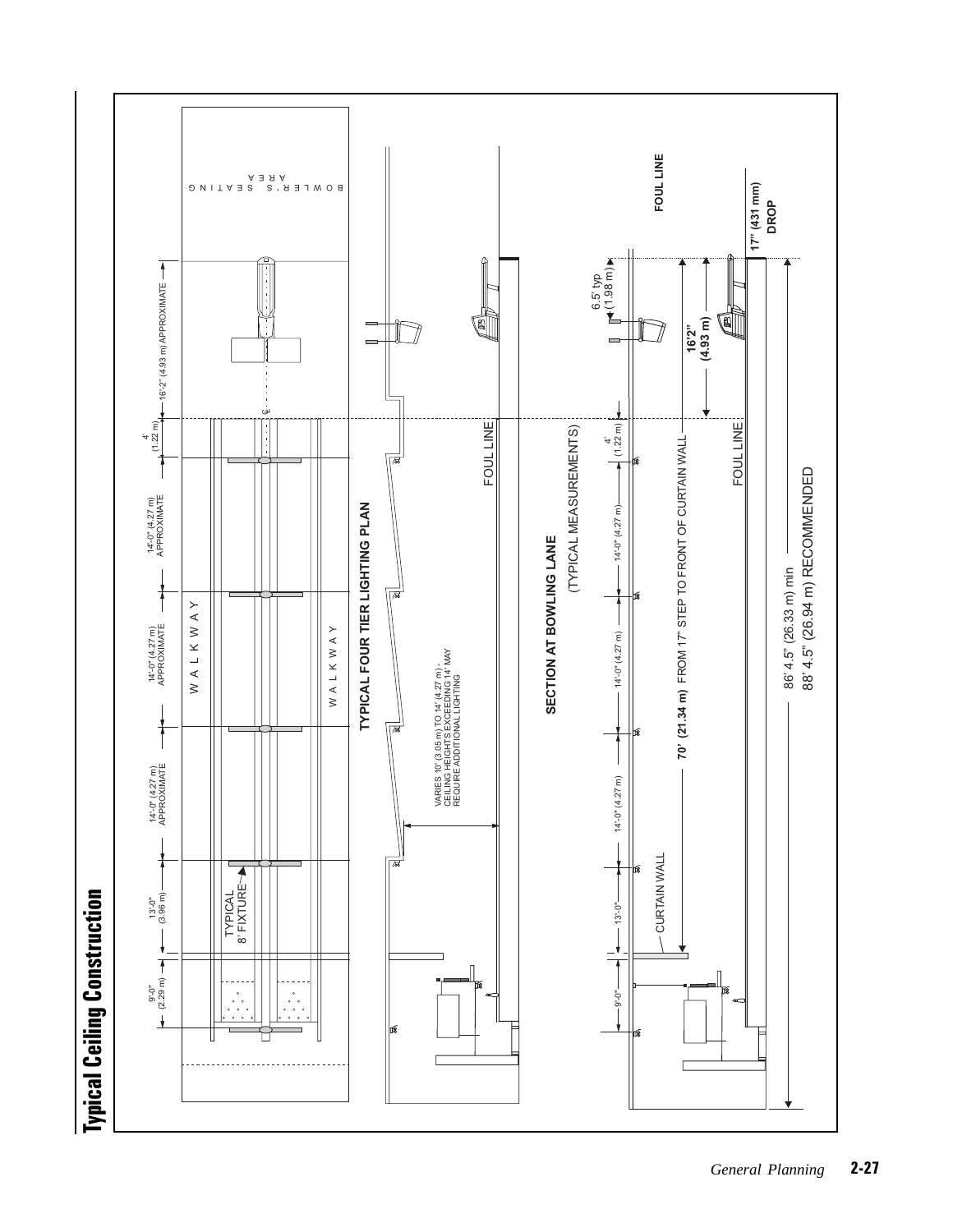